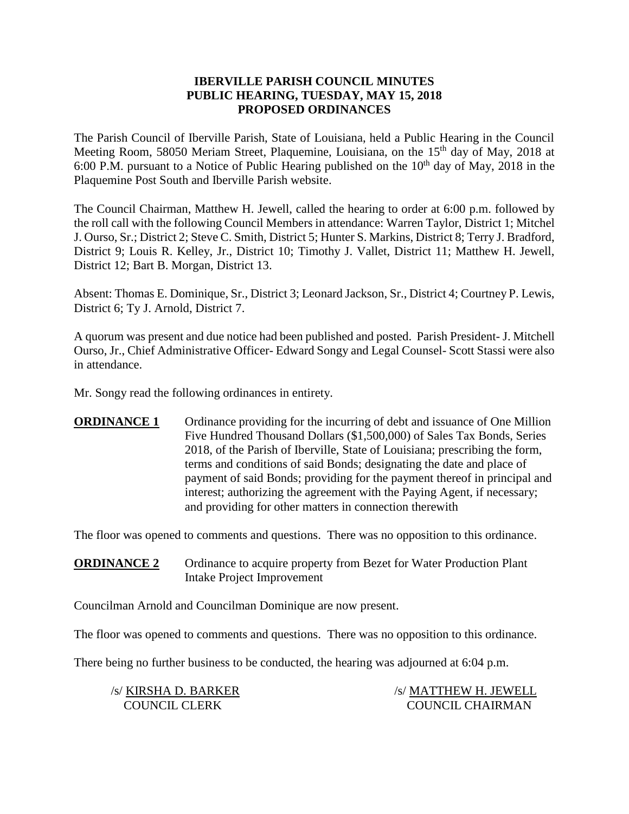### **IBERVILLE PARISH COUNCIL MINUTES PUBLIC HEARING, TUESDAY, MAY 15, 2018 PROPOSED ORDINANCES**

The Parish Council of Iberville Parish, State of Louisiana, held a Public Hearing in the Council Meeting Room, 58050 Meriam Street, Plaquemine, Louisiana, on the 15<sup>th</sup> day of May, 2018 at 6:00 P.M. pursuant to a Notice of Public Hearing published on the  $10<sup>th</sup>$  day of May, 2018 in the Plaquemine Post South and Iberville Parish website.

The Council Chairman, Matthew H. Jewell, called the hearing to order at 6:00 p.m. followed by the roll call with the following Council Members in attendance: Warren Taylor, District 1; Mitchel J. Ourso, Sr.; District 2; Steve C. Smith, District 5; Hunter S. Markins, District 8; Terry J. Bradford, District 9; Louis R. Kelley, Jr., District 10; Timothy J. Vallet, District 11; Matthew H. Jewell, District 12; Bart B. Morgan, District 13.

Absent: Thomas E. Dominique, Sr., District 3; Leonard Jackson, Sr., District 4; Courtney P. Lewis, District 6; Ty J. Arnold, District 7.

A quorum was present and due notice had been published and posted. Parish President- J. Mitchell Ourso, Jr., Chief Administrative Officer- Edward Songy and Legal Counsel- Scott Stassi were also in attendance.

Mr. Songy read the following ordinances in entirety.

**ORDINANCE 1** Ordinance providing for the incurring of debt and issuance of One Million Five Hundred Thousand Dollars (\$1,500,000) of Sales Tax Bonds, Series 2018, of the Parish of Iberville, State of Louisiana; prescribing the form, terms and conditions of said Bonds; designating the date and place of payment of said Bonds; providing for the payment thereof in principal and interest; authorizing the agreement with the Paying Agent, if necessary; and providing for other matters in connection therewith

The floor was opened to comments and questions. There was no opposition to this ordinance.

**ORDINANCE 2** Ordinance to acquire property from Bezet for Water Production Plant Intake Project Improvement

Councilman Arnold and Councilman Dominique are now present.

The floor was opened to comments and questions. There was no opposition to this ordinance.

There being no further business to be conducted, the hearing was adjourned at 6:04 p.m.

/s/ KIRSHA D. BARKER /s/ MATTHEW H. JEWELL COUNCIL CLERK COUNCIL CHAIRMAN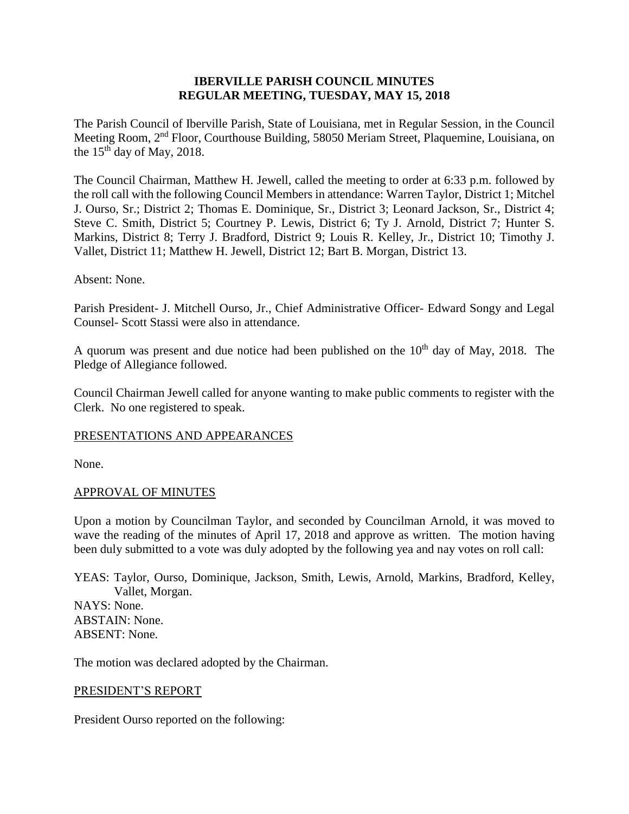### **IBERVILLE PARISH COUNCIL MINUTES REGULAR MEETING, TUESDAY, MAY 15, 2018**

The Parish Council of Iberville Parish, State of Louisiana, met in Regular Session, in the Council Meeting Room, 2nd Floor, Courthouse Building, 58050 Meriam Street, Plaquemine, Louisiana, on the  $15<sup>th</sup>$  day of May, 2018.

The Council Chairman, Matthew H. Jewell, called the meeting to order at 6:33 p.m. followed by the roll call with the following Council Members in attendance: Warren Taylor, District 1; Mitchel J. Ourso, Sr.; District 2; Thomas E. Dominique, Sr., District 3; Leonard Jackson, Sr., District 4; Steve C. Smith, District 5; Courtney P. Lewis, District 6; Ty J. Arnold, District 7; Hunter S. Markins, District 8; Terry J. Bradford, District 9; Louis R. Kelley, Jr., District 10; Timothy J. Vallet, District 11; Matthew H. Jewell, District 12; Bart B. Morgan, District 13.

#### Absent: None.

Parish President- J. Mitchell Ourso, Jr., Chief Administrative Officer- Edward Songy and Legal Counsel- Scott Stassi were also in attendance.

A quorum was present and due notice had been published on the  $10<sup>th</sup>$  day of May, 2018. The Pledge of Allegiance followed.

Council Chairman Jewell called for anyone wanting to make public comments to register with the Clerk. No one registered to speak.

#### PRESENTATIONS AND APPEARANCES

None.

#### APPROVAL OF MINUTES

Upon a motion by Councilman Taylor, and seconded by Councilman Arnold, it was moved to wave the reading of the minutes of April 17, 2018 and approve as written. The motion having been duly submitted to a vote was duly adopted by the following yea and nay votes on roll call:

YEAS: Taylor, Ourso, Dominique, Jackson, Smith, Lewis, Arnold, Markins, Bradford, Kelley, Vallet, Morgan. NAYS: None. ABSTAIN: None. ABSENT: None.

The motion was declared adopted by the Chairman.

#### PRESIDENT'S REPORT

President Ourso reported on the following: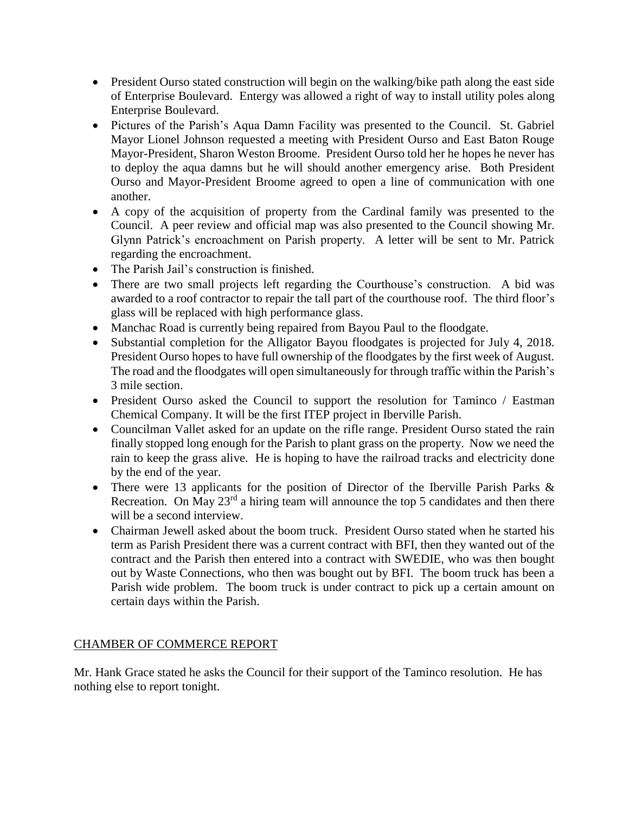- President Ourso stated construction will begin on the walking/bike path along the east side of Enterprise Boulevard. Entergy was allowed a right of way to install utility poles along Enterprise Boulevard.
- Pictures of the Parish's Aqua Damn Facility was presented to the Council. St. Gabriel Mayor Lionel Johnson requested a meeting with President Ourso and East Baton Rouge Mayor-President, Sharon Weston Broome. President Ourso told her he hopes he never has to deploy the aqua damns but he will should another emergency arise. Both President Ourso and Mayor-President Broome agreed to open a line of communication with one another.
- A copy of the acquisition of property from the Cardinal family was presented to the Council. A peer review and official map was also presented to the Council showing Mr. Glynn Patrick's encroachment on Parish property. A letter will be sent to Mr. Patrick regarding the encroachment.
- The Parish Jail's construction is finished.
- There are two small projects left regarding the Courthouse's construction. A bid was awarded to a roof contractor to repair the tall part of the courthouse roof. The third floor's glass will be replaced with high performance glass.
- Manchac Road is currently being repaired from Bayou Paul to the floodgate.
- Substantial completion for the Alligator Bayou floodgates is projected for July 4, 2018. President Ourso hopes to have full ownership of the floodgates by the first week of August. The road and the floodgates will open simultaneously for through traffic within the Parish's 3 mile section.
- President Ourso asked the Council to support the resolution for Taminco / Eastman Chemical Company. It will be the first ITEP project in Iberville Parish.
- Councilman Vallet asked for an update on the rifle range. President Ourso stated the rain finally stopped long enough for the Parish to plant grass on the property. Now we need the rain to keep the grass alive. He is hoping to have the railroad tracks and electricity done by the end of the year.
- There were 13 applicants for the position of Director of the Iberville Parish Parks & Recreation. On May  $23<sup>rd</sup>$  a hiring team will announce the top 5 candidates and then there will be a second interview.
- Chairman Jewell asked about the boom truck. President Ourso stated when he started his term as Parish President there was a current contract with BFI, then they wanted out of the contract and the Parish then entered into a contract with SWEDIE, who was then bought out by Waste Connections, who then was bought out by BFI. The boom truck has been a Parish wide problem. The boom truck is under contract to pick up a certain amount on certain days within the Parish.

# CHAMBER OF COMMERCE REPORT

Mr. Hank Grace stated he asks the Council for their support of the Taminco resolution. He has nothing else to report tonight.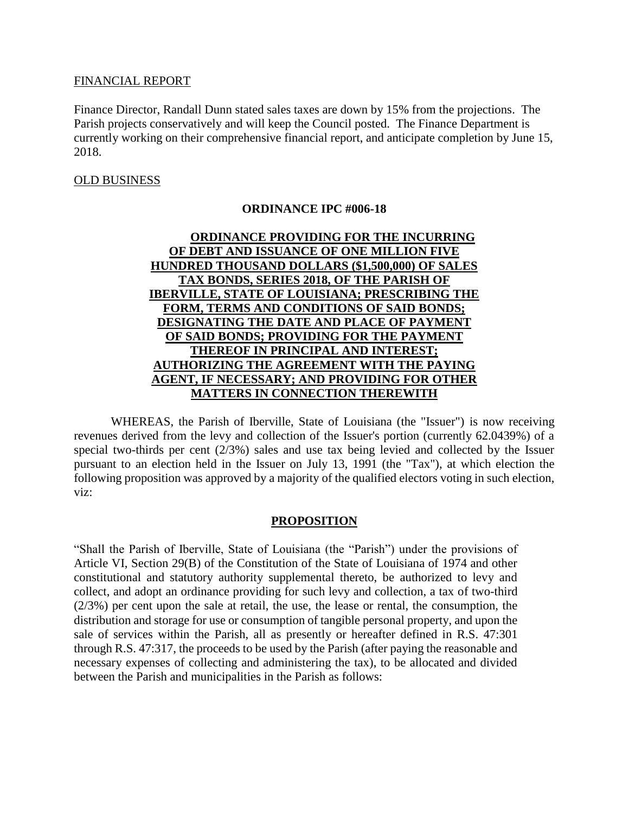#### FINANCIAL REPORT

Finance Director, Randall Dunn stated sales taxes are down by 15% from the projections. The Parish projects conservatively and will keep the Council posted. The Finance Department is currently working on their comprehensive financial report, and anticipate completion by June 15, 2018.

### OLD BUSINESS

### **ORDINANCE IPC #006-18**

# **ORDINANCE PROVIDING FOR THE INCURRING OF DEBT AND ISSUANCE OF ONE MILLION FIVE HUNDRED THOUSAND DOLLARS (\$1,500,000) OF SALES TAX BONDS, SERIES 2018, OF THE PARISH OF IBERVILLE, STATE OF LOUISIANA; PRESCRIBING THE FORM, TERMS AND CONDITIONS OF SAID BONDS; DESIGNATING THE DATE AND PLACE OF PAYMENT OF SAID BONDS; PROVIDING FOR THE PAYMENT THEREOF IN PRINCIPAL AND INTEREST; AUTHORIZING THE AGREEMENT WITH THE PAYING AGENT, IF NECESSARY; AND PROVIDING FOR OTHER MATTERS IN CONNECTION THEREWITH**

WHEREAS, the Parish of Iberville, State of Louisiana (the "Issuer") is now receiving revenues derived from the levy and collection of the Issuer's portion (currently 62.0439%) of a special two-thirds per cent (2/3%) sales and use tax being levied and collected by the Issuer pursuant to an election held in the Issuer on July 13, 1991 (the "Tax"), at which election the following proposition was approved by a majority of the qualified electors voting in such election, viz:

#### **PROPOSITION**

"Shall the Parish of Iberville, State of Louisiana (the "Parish") under the provisions of Article VI, Section 29(B) of the Constitution of the State of Louisiana of 1974 and other constitutional and statutory authority supplemental thereto, be authorized to levy and collect, and adopt an ordinance providing for such levy and collection, a tax of two-third  $(2/3%)$  per cent upon the sale at retail, the use, the lease or rental, the consumption, the distribution and storage for use or consumption of tangible personal property, and upon the sale of services within the Parish, all as presently or hereafter defined in R.S. 47:301 through R.S. 47:317, the proceeds to be used by the Parish (after paying the reasonable and necessary expenses of collecting and administering the tax), to be allocated and divided between the Parish and municipalities in the Parish as follows: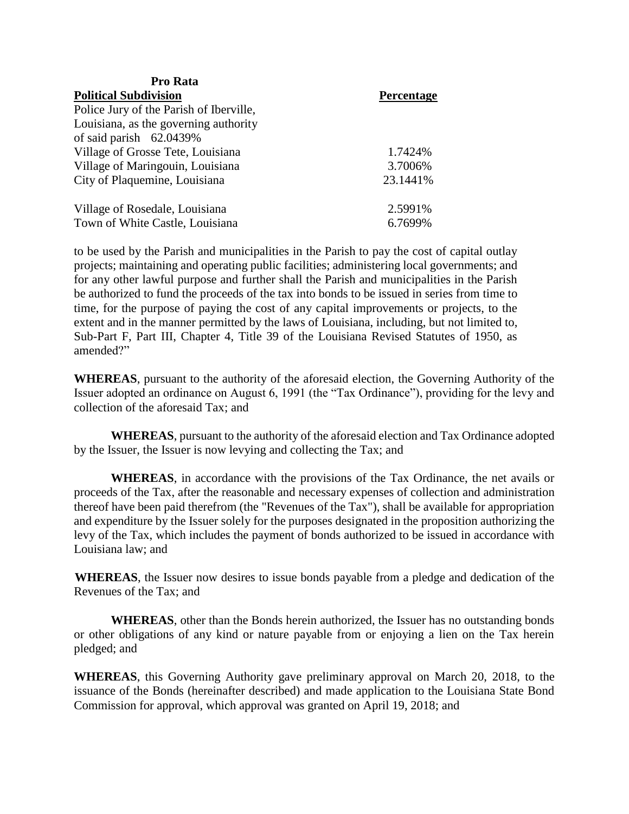| Pro Rata                                |                   |
|-----------------------------------------|-------------------|
| <b>Political Subdivision</b>            | <b>Percentage</b> |
| Police Jury of the Parish of Iberville, |                   |
| Louisiana, as the governing authority   |                   |
| of said parish $62.0439\%$              |                   |
| Village of Grosse Tete, Louisiana       | 1.7424%           |
| Village of Maringouin, Louisiana        | 3.7006%           |
| City of Plaquemine, Louisiana           | 23.1441\%         |
| Village of Rosedale, Louisiana          | 2.5991%           |
| Town of White Castle, Louisiana         | 6.7699%           |

to be used by the Parish and municipalities in the Parish to pay the cost of capital outlay projects; maintaining and operating public facilities; administering local governments; and for any other lawful purpose and further shall the Parish and municipalities in the Parish be authorized to fund the proceeds of the tax into bonds to be issued in series from time to time, for the purpose of paying the cost of any capital improvements or projects, to the extent and in the manner permitted by the laws of Louisiana, including, but not limited to, Sub-Part F, Part III, Chapter 4, Title 39 of the Louisiana Revised Statutes of 1950, as amended?"

**WHEREAS**, pursuant to the authority of the aforesaid election, the Governing Authority of the Issuer adopted an ordinance on August 6, 1991 (the "Tax Ordinance"), providing for the levy and collection of the aforesaid Tax; and

**WHEREAS**, pursuant to the authority of the aforesaid election and Tax Ordinance adopted by the Issuer, the Issuer is now levying and collecting the Tax; and

**WHEREAS**, in accordance with the provisions of the Tax Ordinance, the net avails or proceeds of the Tax, after the reasonable and necessary expenses of collection and administration thereof have been paid therefrom (the "Revenues of the Tax"), shall be available for appropriation and expenditure by the Issuer solely for the purposes designated in the proposition authorizing the levy of the Tax, which includes the payment of bonds authorized to be issued in accordance with Louisiana law; and

**WHEREAS**, the Issuer now desires to issue bonds payable from a pledge and dedication of the Revenues of the Tax; and

**WHEREAS**, other than the Bonds herein authorized, the Issuer has no outstanding bonds or other obligations of any kind or nature payable from or enjoying a lien on the Tax herein pledged; and

**WHEREAS**, this Governing Authority gave preliminary approval on March 20, 2018, to the issuance of the Bonds (hereinafter described) and made application to the Louisiana State Bond Commission for approval, which approval was granted on April 19, 2018; and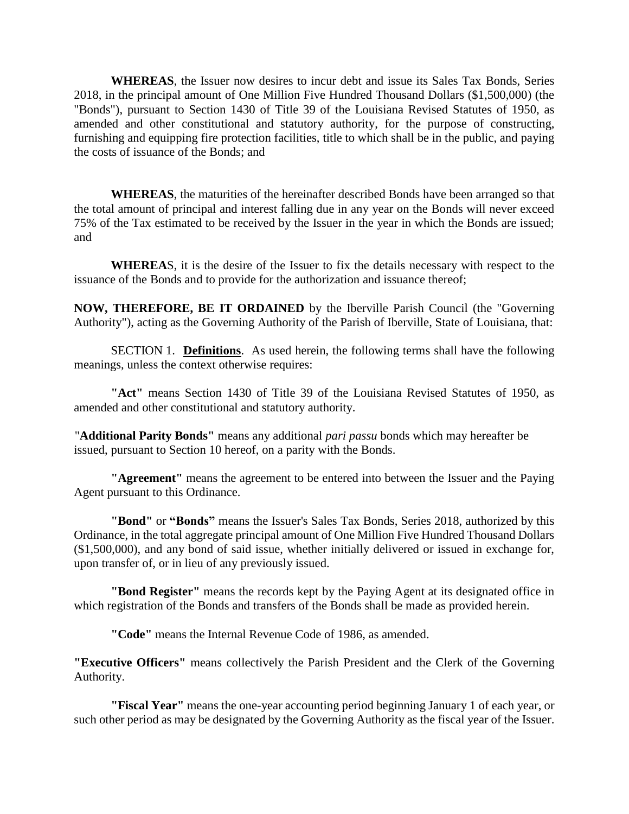**WHEREAS**, the Issuer now desires to incur debt and issue its Sales Tax Bonds, Series 2018, in the principal amount of One Million Five Hundred Thousand Dollars (\$1,500,000) (the "Bonds"), pursuant to Section 1430 of Title 39 of the Louisiana Revised Statutes of 1950, as amended and other constitutional and statutory authority, for the purpose of constructing, furnishing and equipping fire protection facilities, title to which shall be in the public, and paying the costs of issuance of the Bonds; and

**WHEREAS**, the maturities of the hereinafter described Bonds have been arranged so that the total amount of principal and interest falling due in any year on the Bonds will never exceed 75% of the Tax estimated to be received by the Issuer in the year in which the Bonds are issued; and

**WHEREA**S, it is the desire of the Issuer to fix the details necessary with respect to the issuance of the Bonds and to provide for the authorization and issuance thereof;

**NOW, THEREFORE, BE IT ORDAINED** by the Iberville Parish Council (the "Governing Authority"), acting as the Governing Authority of the Parish of Iberville, State of Louisiana, that:

SECTION 1. **Definitions**. As used herein, the following terms shall have the following meanings, unless the context otherwise requires:

**"Act"** means Section 1430 of Title 39 of the Louisiana Revised Statutes of 1950, as amended and other constitutional and statutory authority.

"**Additional Parity Bonds"** means any additional *pari passu* bonds which may hereafter be issued, pursuant to Section 10 hereof, on a parity with the Bonds.

**"Agreement"** means the agreement to be entered into between the Issuer and the Paying Agent pursuant to this Ordinance.

**"Bond"** or **"Bonds"** means the Issuer's Sales Tax Bonds, Series 2018, authorized by this Ordinance, in the total aggregate principal amount of One Million Five Hundred Thousand Dollars (\$1,500,000), and any bond of said issue, whether initially delivered or issued in exchange for, upon transfer of, or in lieu of any previously issued.

**"Bond Register"** means the records kept by the Paying Agent at its designated office in which registration of the Bonds and transfers of the Bonds shall be made as provided herein.

**"Code"** means the Internal Revenue Code of 1986, as amended.

**"Executive Officers"** means collectively the Parish President and the Clerk of the Governing Authority.

**"Fiscal Year"** means the one-year accounting period beginning January 1 of each year, or such other period as may be designated by the Governing Authority as the fiscal year of the Issuer.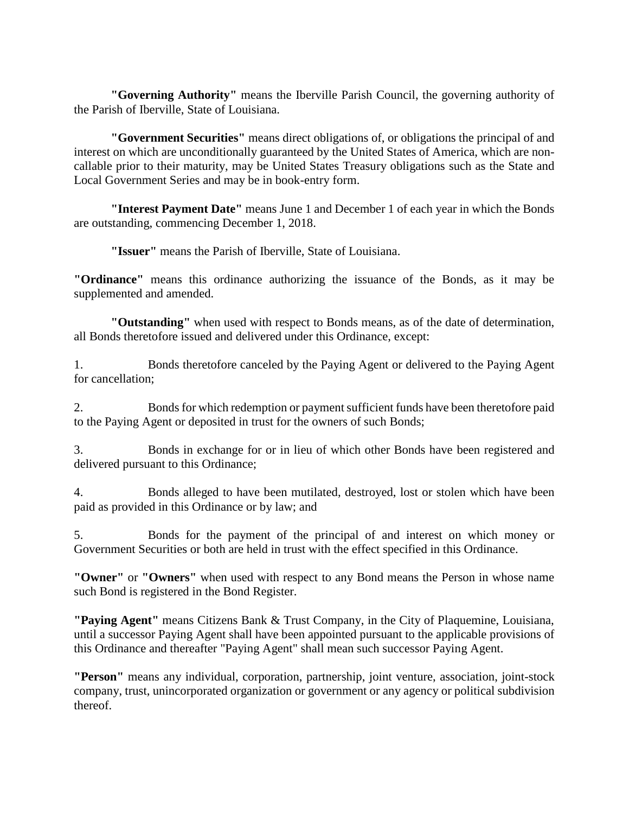**"Governing Authority"** means the Iberville Parish Council, the governing authority of the Parish of Iberville, State of Louisiana.

**"Government Securities"** means direct obligations of, or obligations the principal of and interest on which are unconditionally guaranteed by the United States of America, which are noncallable prior to their maturity, may be United States Treasury obligations such as the State and Local Government Series and may be in book-entry form.

**"Interest Payment Date"** means June 1 and December 1 of each year in which the Bonds are outstanding, commencing December 1, 2018.

**"Issuer"** means the Parish of Iberville, State of Louisiana.

**"Ordinance"** means this ordinance authorizing the issuance of the Bonds, as it may be supplemented and amended.

**"Outstanding"** when used with respect to Bonds means, as of the date of determination, all Bonds theretofore issued and delivered under this Ordinance, except:

1. Bonds theretofore canceled by the Paying Agent or delivered to the Paying Agent for cancellation;

2. Bonds for which redemption or payment sufficient funds have been theretofore paid to the Paying Agent or deposited in trust for the owners of such Bonds;

3. Bonds in exchange for or in lieu of which other Bonds have been registered and delivered pursuant to this Ordinance;

4. Bonds alleged to have been mutilated, destroyed, lost or stolen which have been paid as provided in this Ordinance or by law; and

5. Bonds for the payment of the principal of and interest on which money or Government Securities or both are held in trust with the effect specified in this Ordinance.

**"Owner"** or **"Owners"** when used with respect to any Bond means the Person in whose name such Bond is registered in the Bond Register.

**"Paying Agent"** means Citizens Bank & Trust Company, in the City of Plaquemine, Louisiana, until a successor Paying Agent shall have been appointed pursuant to the applicable provisions of this Ordinance and thereafter "Paying Agent" shall mean such successor Paying Agent.

**"Person"** means any individual, corporation, partnership, joint venture, association, joint-stock company, trust, unincorporated organization or government or any agency or political subdivision thereof.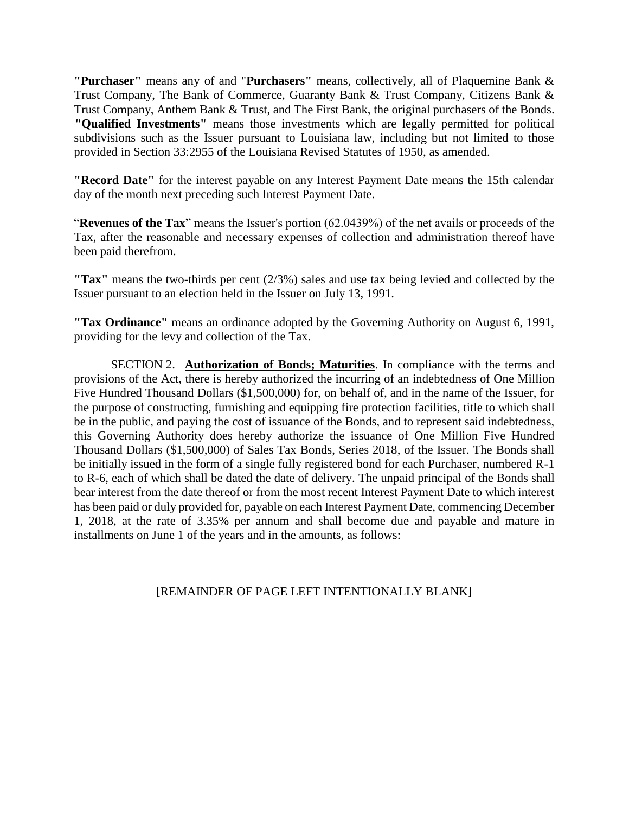**"Purchaser"** means any of and "**Purchasers"** means, collectively, all of Plaquemine Bank & Trust Company, The Bank of Commerce, Guaranty Bank & Trust Company, Citizens Bank & Trust Company, Anthem Bank & Trust, and The First Bank, the original purchasers of the Bonds. **"Qualified Investments"** means those investments which are legally permitted for political subdivisions such as the Issuer pursuant to Louisiana law, including but not limited to those provided in Section 33:2955 of the Louisiana Revised Statutes of 1950, as amended.

**"Record Date"** for the interest payable on any Interest Payment Date means the 15th calendar day of the month next preceding such Interest Payment Date.

"**Revenues of the Tax**" means the Issuer's portion (62.0439%) of the net avails or proceeds of the Tax, after the reasonable and necessary expenses of collection and administration thereof have been paid therefrom.

**"Tax"** means the two-thirds per cent (2/3%) sales and use tax being levied and collected by the Issuer pursuant to an election held in the Issuer on July 13, 1991.

**"Tax Ordinance"** means an ordinance adopted by the Governing Authority on August 6, 1991, providing for the levy and collection of the Tax.

SECTION 2. **Authorization of Bonds; Maturities**. In compliance with the terms and provisions of the Act, there is hereby authorized the incurring of an indebtedness of One Million Five Hundred Thousand Dollars (\$1,500,000) for, on behalf of, and in the name of the Issuer, for the purpose of constructing, furnishing and equipping fire protection facilities, title to which shall be in the public, and paying the cost of issuance of the Bonds, and to represent said indebtedness, this Governing Authority does hereby authorize the issuance of One Million Five Hundred Thousand Dollars (\$1,500,000) of Sales Tax Bonds, Series 2018, of the Issuer. The Bonds shall be initially issued in the form of a single fully registered bond for each Purchaser, numbered R-1 to R-6, each of which shall be dated the date of delivery. The unpaid principal of the Bonds shall bear interest from the date thereof or from the most recent Interest Payment Date to which interest has been paid or duly provided for, payable on each Interest Payment Date, commencing December 1, 2018, at the rate of 3.35% per annum and shall become due and payable and mature in installments on June 1 of the years and in the amounts, as follows:

# [REMAINDER OF PAGE LEFT INTENTIONALLY BLANK]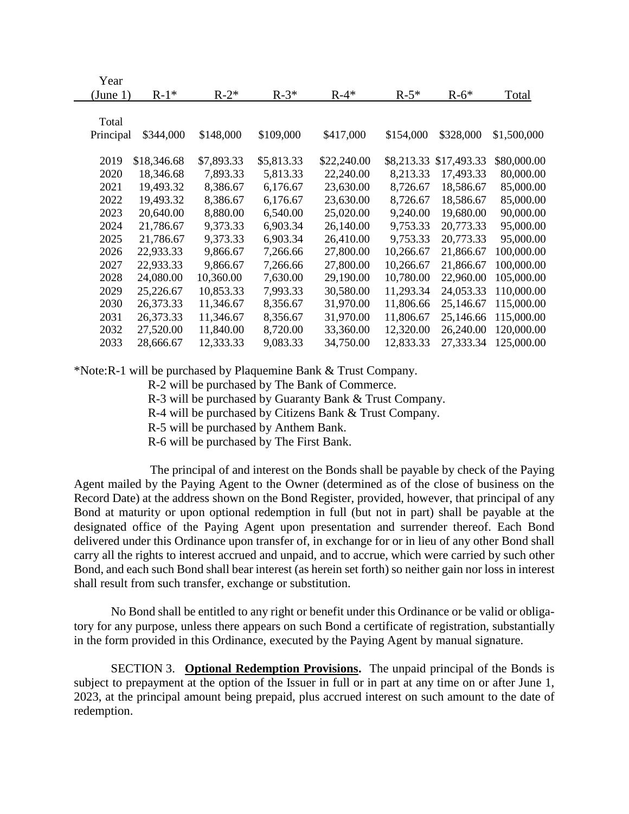| Year      |             |            |            |             |            |             |             |
|-----------|-------------|------------|------------|-------------|------------|-------------|-------------|
| (June 1)  | $R-1*$      | $R-2*$     | $R-3*$     | $R-4*$      | $R-5*$     | $R-6*$      | Total       |
|           |             |            |            |             |            |             |             |
| Total     |             |            |            |             |            |             |             |
| Principal | \$344,000   | \$148,000  | \$109,000  | \$417,000   | \$154,000  | \$328,000   | \$1,500,000 |
|           |             |            |            |             |            |             |             |
| 2019      | \$18,346.68 | \$7,893.33 | \$5,813.33 | \$22,240.00 | \$8,213.33 | \$17,493.33 | \$80,000.00 |
| 2020      | 18,346.68   | 7,893.33   | 5,813.33   | 22,240.00   | 8,213.33   | 17,493.33   | 80,000.00   |
| 2021      | 19,493.32   | 8,386.67   | 6,176.67   | 23,630.00   | 8,726.67   | 18,586.67   | 85,000.00   |
| 2022      | 19,493.32   | 8,386.67   | 6,176.67   | 23,630.00   | 8,726.67   | 18,586.67   | 85,000.00   |
| 2023      | 20,640.00   | 8,880.00   | 6,540.00   | 25,020.00   | 9,240.00   | 19,680.00   | 90,000.00   |
| 2024      | 21,786.67   | 9,373.33   | 6,903.34   | 26,140.00   | 9,753.33   | 20,773.33   | 95,000.00   |
| 2025      | 21,786.67   | 9,373.33   | 6,903.34   | 26,410.00   | 9,753.33   | 20,773.33   | 95,000.00   |
| 2026      | 22,933.33   | 9,866.67   | 7,266.66   | 27,800.00   | 10,266.67  | 21,866.67   | 100,000.00  |
| 2027      | 22,933.33   | 9,866.67   | 7,266.66   | 27,800.00   | 10,266.67  | 21,866.67   | 100,000.00  |
| 2028      | 24,080.00   | 10,360.00  | 7,630.00   | 29,190.00   | 10,780.00  | 22,960.00   | 105,000.00  |
| 2029      | 25,226.67   | 10,853.33  | 7,993.33   | 30,580.00   | 11,293.34  | 24,053.33   | 110,000.00  |
| 2030      | 26,373.33   | 11,346.67  | 8,356.67   | 31,970.00   | 11,806.66  | 25,146.67   | 115,000.00  |
| 2031      | 26,373.33   | 11,346.67  | 8,356.67   | 31,970.00   | 11,806.67  | 25,146.66   | 115,000.00  |
| 2032      | 27,520.00   | 11,840.00  | 8,720.00   | 33,360.00   | 12,320.00  | 26,240.00   | 120,000.00  |
| 2033      | 28,666.67   | 12,333.33  | 9,083.33   | 34,750.00   | 12,833.33  | 27,333.34   | 125,000.00  |
|           |             |            |            |             |            |             |             |

\*Note:R-1 will be purchased by Plaquemine Bank & Trust Company.

R-2 will be purchased by The Bank of Commerce.

R-3 will be purchased by Guaranty Bank & Trust Company.

R-4 will be purchased by Citizens Bank & Trust Company.

R-5 will be purchased by Anthem Bank.

R-6 will be purchased by The First Bank.

The principal of and interest on the Bonds shall be payable by check of the Paying Agent mailed by the Paying Agent to the Owner (determined as of the close of business on the Record Date) at the address shown on the Bond Register, provided, however, that principal of any Bond at maturity or upon optional redemption in full (but not in part) shall be payable at the designated office of the Paying Agent upon presentation and surrender thereof. Each Bond delivered under this Ordinance upon transfer of, in exchange for or in lieu of any other Bond shall carry all the rights to interest accrued and unpaid, and to accrue, which were carried by such other Bond, and each such Bond shall bear interest (as herein set forth) so neither gain nor loss in interest shall result from such transfer, exchange or substitution.

No Bond shall be entitled to any right or benefit under this Ordinance or be valid or obligatory for any purpose, unless there appears on such Bond a certificate of registration, substantially in the form provided in this Ordinance, executed by the Paying Agent by manual signature.

SECTION 3. **Optional Redemption Provisions.** The unpaid principal of the Bonds is subject to prepayment at the option of the Issuer in full or in part at any time on or after June 1, 2023, at the principal amount being prepaid, plus accrued interest on such amount to the date of redemption.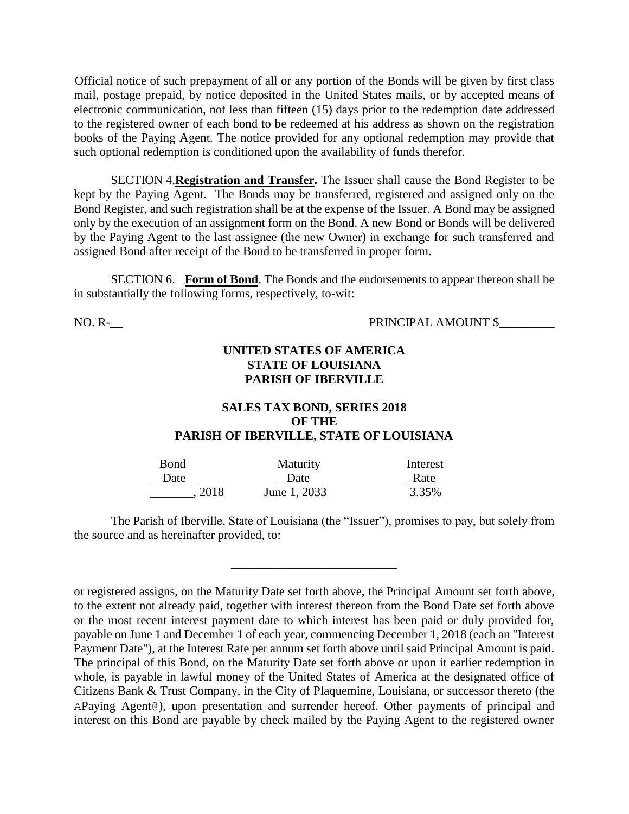Official notice of such prepayment of all or any portion of the Bonds will be given by first class mail, postage prepaid, by notice deposited in the United States mails, or by accepted means of electronic communication, not less than fifteen (15) days prior to the redemption date addressed to the registered owner of each bond to be redeemed at his address as shown on the registration books of the Paying Agent. The notice provided for any optional redemption may provide that such optional redemption is conditioned upon the availability of funds therefor.

SECTION 4.**Registration and Transfer.** The Issuer shall cause the Bond Register to be kept by the Paying Agent. The Bonds may be transferred, registered and assigned only on the Bond Register, and such registration shall be at the expense of the Issuer. A Bond may be assigned only by the execution of an assignment form on the Bond. A new Bond or Bonds will be delivered by the Paying Agent to the last assignee (the new Owner) in exchange for such transferred and assigned Bond after receipt of the Bond to be transferred in proper form.

SECTION 6. **Form of Bond**. The Bonds and the endorsements to appear thereon shall be in substantially the following forms, respectively, to-wit:

NO. R-<br>PRINCIPAL AMOUNT \$

### **UNITED STATES OF AMERICA STATE OF LOUISIANA PARISH OF IBERVILLE**

### **SALES TAX BOND, SERIES 2018 OF THE PARISH OF IBERVILLE, STATE OF LOUISIANA**

| Bond   | Maturity     | Interest |
|--------|--------------|----------|
| Date   | Date         | Rate     |
| . 2018 | June 1, 2033 | 3.35%    |

 $\frac{1}{2}$  , and the set of the set of the set of the set of the set of the set of the set of the set of the set of the set of the set of the set of the set of the set of the set of the set of the set of the set of the set

The Parish of Iberville, State of Louisiana (the "Issuer"), promises to pay, but solely from the source and as hereinafter provided, to:

or registered assigns, on the Maturity Date set forth above, the Principal Amount set forth above, to the extent not already paid, together with interest thereon from the Bond Date set forth above or the most recent interest payment date to which interest has been paid or duly provided for, payable on June 1 and December 1 of each year, commencing December 1, 2018 (each an "Interest Payment Date"), at the Interest Rate per annum set forth above until said Principal Amount is paid. The principal of this Bond, on the Maturity Date set forth above or upon it earlier redemption in whole, is payable in lawful money of the United States of America at the designated office of Citizens Bank & Trust Company, in the City of Plaquemine, Louisiana, or successor thereto (the APaying Agent@), upon presentation and surrender hereof. Other payments of principal and interest on this Bond are payable by check mailed by the Paying Agent to the registered owner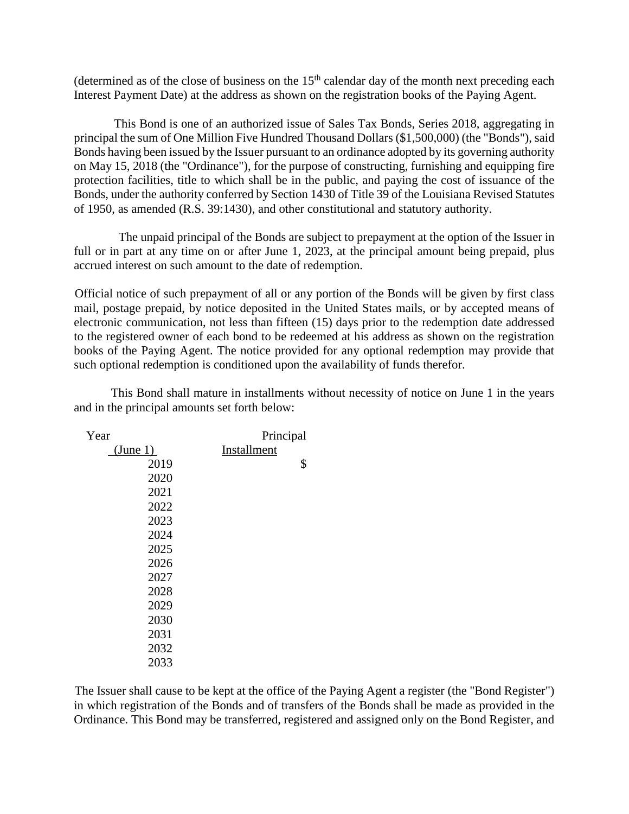(determined as of the close of business on the  $15<sup>th</sup>$  calendar day of the month next preceding each Interest Payment Date) at the address as shown on the registration books of the Paying Agent.

This Bond is one of an authorized issue of Sales Tax Bonds, Series 2018, aggregating in principal the sum of One Million Five Hundred Thousand Dollars (\$1,500,000) (the "Bonds"), said Bonds having been issued by the Issuer pursuant to an ordinance adopted by its governing authority on May 15, 2018 (the "Ordinance"), for the purpose of constructing, furnishing and equipping fire protection facilities, title to which shall be in the public, and paying the cost of issuance of the Bonds, under the authority conferred by Section 1430 of Title 39 of the Louisiana Revised Statutes of 1950, as amended (R.S. 39:1430), and other constitutional and statutory authority.

The unpaid principal of the Bonds are subject to prepayment at the option of the Issuer in full or in part at any time on or after June 1, 2023, at the principal amount being prepaid, plus accrued interest on such amount to the date of redemption.

Official notice of such prepayment of all or any portion of the Bonds will be given by first class mail, postage prepaid, by notice deposited in the United States mails, or by accepted means of electronic communication, not less than fifteen (15) days prior to the redemption date addressed to the registered owner of each bond to be redeemed at his address as shown on the registration books of the Paying Agent. The notice provided for any optional redemption may provide that such optional redemption is conditioned upon the availability of funds therefor.

This Bond shall mature in installments without necessity of notice on June 1 in the years and in the principal amounts set forth below:

| Year     | Principal   |
|----------|-------------|
| (June 1) | Installment |
| 2019     | \$          |
| 2020     |             |
| 2021     |             |
| 2022     |             |
| 2023     |             |
| 2024     |             |
| 2025     |             |
| 2026     |             |
| 2027     |             |
| 2028     |             |
| 2029     |             |
| 2030     |             |
| 2031     |             |
| 2032     |             |
| 2033     |             |

The Issuer shall cause to be kept at the office of the Paying Agent a register (the "Bond Register") in which registration of the Bonds and of transfers of the Bonds shall be made as provided in the Ordinance. This Bond may be transferred, registered and assigned only on the Bond Register, and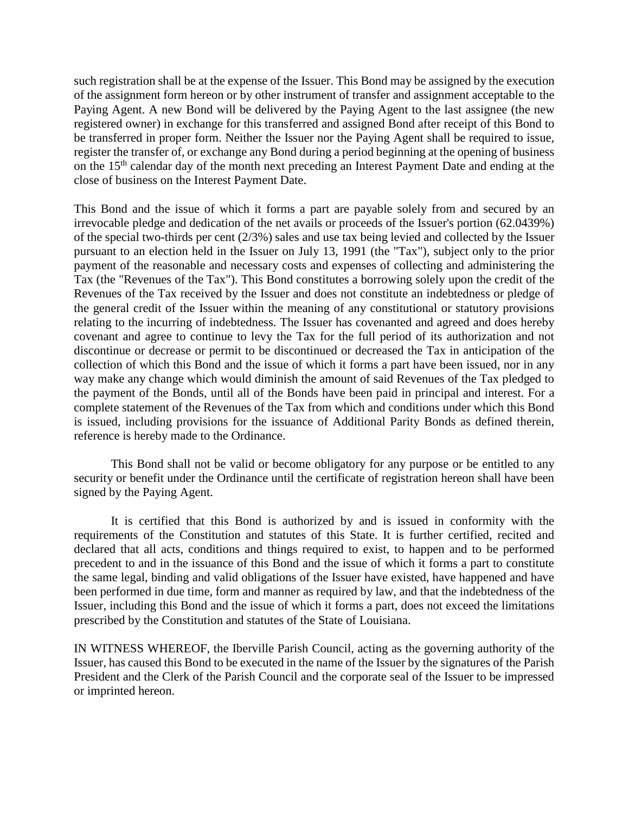such registration shall be at the expense of the Issuer. This Bond may be assigned by the execution of the assignment form hereon or by other instrument of transfer and assignment acceptable to the Paying Agent. A new Bond will be delivered by the Paying Agent to the last assignee (the new registered owner) in exchange for this transferred and assigned Bond after receipt of this Bond to be transferred in proper form. Neither the Issuer nor the Paying Agent shall be required to issue, register the transfer of, or exchange any Bond during a period beginning at the opening of business on the 15<sup>th</sup> calendar day of the month next preceding an Interest Payment Date and ending at the close of business on the Interest Payment Date.

This Bond and the issue of which it forms a part are payable solely from and secured by an irrevocable pledge and dedication of the net avails or proceeds of the Issuer's portion (62.0439%) of the special two-thirds per cent (2/3%) sales and use tax being levied and collected by the Issuer pursuant to an election held in the Issuer on July 13, 1991 (the "Tax"), subject only to the prior payment of the reasonable and necessary costs and expenses of collecting and administering the Tax (the "Revenues of the Tax"). This Bond constitutes a borrowing solely upon the credit of the Revenues of the Tax received by the Issuer and does not constitute an indebtedness or pledge of the general credit of the Issuer within the meaning of any constitutional or statutory provisions relating to the incurring of indebtedness. The Issuer has covenanted and agreed and does hereby covenant and agree to continue to levy the Tax for the full period of its authorization and not discontinue or decrease or permit to be discontinued or decreased the Tax in anticipation of the collection of which this Bond and the issue of which it forms a part have been issued, nor in any way make any change which would diminish the amount of said Revenues of the Tax pledged to the payment of the Bonds, until all of the Bonds have been paid in principal and interest. For a complete statement of the Revenues of the Tax from which and conditions under which this Bond is issued, including provisions for the issuance of Additional Parity Bonds as defined therein, reference is hereby made to the Ordinance.

This Bond shall not be valid or become obligatory for any purpose or be entitled to any security or benefit under the Ordinance until the certificate of registration hereon shall have been signed by the Paying Agent.

It is certified that this Bond is authorized by and is issued in conformity with the requirements of the Constitution and statutes of this State. It is further certified, recited and declared that all acts, conditions and things required to exist, to happen and to be performed precedent to and in the issuance of this Bond and the issue of which it forms a part to constitute the same legal, binding and valid obligations of the Issuer have existed, have happened and have been performed in due time, form and manner as required by law, and that the indebtedness of the Issuer, including this Bond and the issue of which it forms a part, does not exceed the limitations prescribed by the Constitution and statutes of the State of Louisiana.

IN WITNESS WHEREOF, the Iberville Parish Council, acting as the governing authority of the Issuer, has caused this Bond to be executed in the name of the Issuer by the signatures of the Parish President and the Clerk of the Parish Council and the corporate seal of the Issuer to be impressed or imprinted hereon.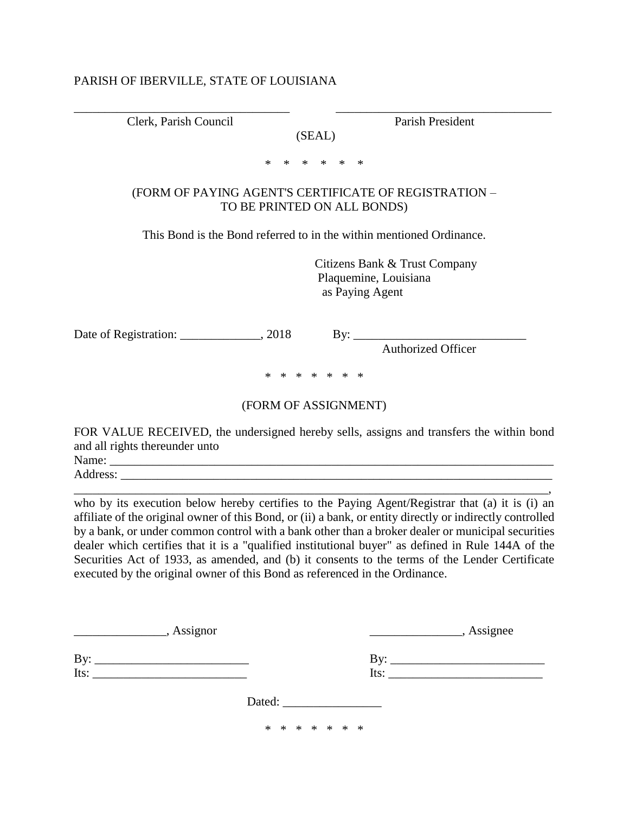#### PARISH OF IBERVILLE, STATE OF LOUISIANA

\_\_\_\_\_\_\_\_\_\_\_\_\_\_\_\_\_\_\_\_\_\_\_\_\_\_\_\_\_\_\_\_\_\_\_ \_\_\_\_\_\_\_\_\_\_\_\_\_\_\_\_\_\_\_\_\_\_\_\_\_\_\_\_\_\_\_\_\_\_\_ Clerk, Parish Council Parish President

(SEAL) \* \* \* \* \* \*

### (FORM OF PAYING AGENT'S CERTIFICATE OF REGISTRATION – TO BE PRINTED ON ALL BONDS)

This Bond is the Bond referred to in the within mentioned Ordinance.

 Citizens Bank & Trust Company Plaquemine, Louisiana as Paying Agent

Date of Registration: \_\_\_\_\_\_\_\_\_\_\_\_\_, 2018 By: \_\_\_\_\_\_\_\_\_\_\_\_\_\_\_\_\_\_\_\_\_\_\_\_\_\_\_\_

Authorized Officer

\* \* \* \* \* \* \*

#### (FORM OF ASSIGNMENT)

FOR VALUE RECEIVED, the undersigned hereby sells, assigns and transfers the within bond and all rights thereunder unto Name: \_\_\_\_\_\_\_\_\_\_\_\_\_\_\_\_\_\_\_\_\_\_\_\_\_\_\_\_\_\_\_\_\_\_\_\_\_\_\_\_\_\_\_\_\_\_\_\_\_\_\_\_\_\_\_\_\_\_\_\_\_\_\_\_\_\_\_\_\_\_\_\_

Address: \_\_\_\_\_\_\_\_\_\_\_\_\_\_\_\_\_\_\_\_\_\_\_\_\_\_\_\_\_\_\_\_\_\_\_\_\_\_\_\_\_\_\_\_\_\_\_\_\_\_\_\_\_\_\_\_\_\_\_\_\_\_\_\_\_\_\_\_\_\_\_\_\_\_\_\_\_,

who by its execution below hereby certifies to the Paying Agent/Registrar that (a) it is (i) an affiliate of the original owner of this Bond, or (ii) a bank, or entity directly or indirectly controlled by a bank, or under common control with a bank other than a broker dealer or municipal securities dealer which certifies that it is a "qualified institutional buyer" as defined in Rule 144A of the Securities Act of 1933, as amended, and (b) it consents to the terms of the Lender Certificate executed by the original owner of this Bond as referenced in the Ordinance.

|             | , Assignor<br>, Assignee |  |
|-------------|--------------------------|--|
| By:<br>Its: | Its: $\qquad \qquad$     |  |
|             | Dated:                   |  |
|             | * * * * * * *            |  |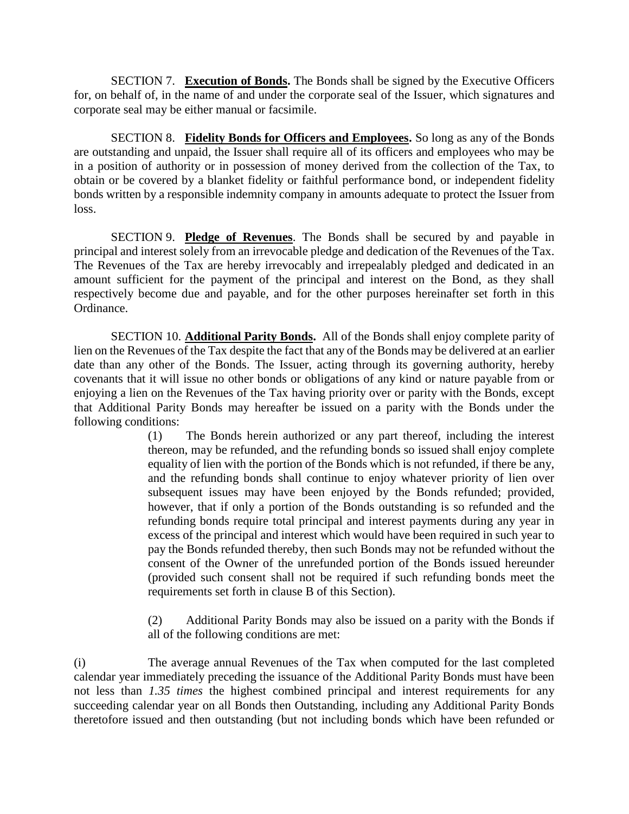SECTION 7. **Execution of Bonds.** The Bonds shall be signed by the Executive Officers for, on behalf of, in the name of and under the corporate seal of the Issuer, which signatures and corporate seal may be either manual or facsimile.

SECTION 8. **Fidelity Bonds for Officers and Employees.** So long as any of the Bonds are outstanding and unpaid, the Issuer shall require all of its officers and employees who may be in a position of authority or in possession of money derived from the collection of the Tax, to obtain or be covered by a blanket fidelity or faithful performance bond, or independent fidelity bonds written by a responsible indemnity company in amounts adequate to protect the Issuer from loss.

SECTION 9. **Pledge of Revenues**. The Bonds shall be secured by and payable in principal and interest solely from an irrevocable pledge and dedication of the Revenues of the Tax. The Revenues of the Tax are hereby irrevocably and irrepealably pledged and dedicated in an amount sufficient for the payment of the principal and interest on the Bond, as they shall respectively become due and payable, and for the other purposes hereinafter set forth in this Ordinance.

SECTION 10. **Additional Parity Bonds.** All of the Bonds shall enjoy complete parity of lien on the Revenues of the Tax despite the fact that any of the Bonds may be delivered at an earlier date than any other of the Bonds. The Issuer, acting through its governing authority, hereby covenants that it will issue no other bonds or obligations of any kind or nature payable from or enjoying a lien on the Revenues of the Tax having priority over or parity with the Bonds, except that Additional Parity Bonds may hereafter be issued on a parity with the Bonds under the following conditions:

> (1) The Bonds herein authorized or any part thereof, including the interest thereon, may be refunded, and the refunding bonds so issued shall enjoy complete equality of lien with the portion of the Bonds which is not refunded, if there be any, and the refunding bonds shall continue to enjoy whatever priority of lien over subsequent issues may have been enjoyed by the Bonds refunded; provided, however, that if only a portion of the Bonds outstanding is so refunded and the refunding bonds require total principal and interest payments during any year in excess of the principal and interest which would have been required in such year to pay the Bonds refunded thereby, then such Bonds may not be refunded without the consent of the Owner of the unrefunded portion of the Bonds issued hereunder (provided such consent shall not be required if such refunding bonds meet the requirements set forth in clause B of this Section).

> (2) Additional Parity Bonds may also be issued on a parity with the Bonds if all of the following conditions are met:

(i) The average annual Revenues of the Tax when computed for the last completed calendar year immediately preceding the issuance of the Additional Parity Bonds must have been not less than *1.35 times* the highest combined principal and interest requirements for any succeeding calendar year on all Bonds then Outstanding, including any Additional Parity Bonds theretofore issued and then outstanding (but not including bonds which have been refunded or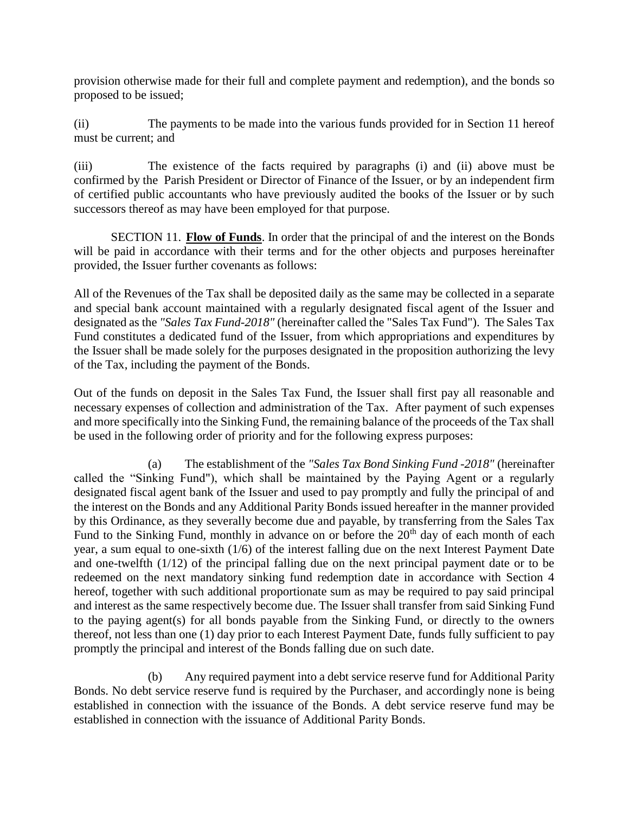provision otherwise made for their full and complete payment and redemption), and the bonds so proposed to be issued;

(ii) The payments to be made into the various funds provided for in Section 11 hereof must be current; and

(iii) The existence of the facts required by paragraphs (i) and (ii) above must be confirmed by the Parish President or Director of Finance of the Issuer, or by an independent firm of certified public accountants who have previously audited the books of the Issuer or by such successors thereof as may have been employed for that purpose.

SECTION 11. **Flow of Funds**. In order that the principal of and the interest on the Bonds will be paid in accordance with their terms and for the other objects and purposes hereinafter provided, the Issuer further covenants as follows:

All of the Revenues of the Tax shall be deposited daily as the same may be collected in a separate and special bank account maintained with a regularly designated fiscal agent of the Issuer and designated as the *"Sales Tax Fund-2018"* (hereinafter called the "Sales Tax Fund"). The Sales Tax Fund constitutes a dedicated fund of the Issuer, from which appropriations and expenditures by the Issuer shall be made solely for the purposes designated in the proposition authorizing the levy of the Tax, including the payment of the Bonds.

Out of the funds on deposit in the Sales Tax Fund, the Issuer shall first pay all reasonable and necessary expenses of collection and administration of the Tax. After payment of such expenses and more specifically into the Sinking Fund, the remaining balance of the proceeds of the Tax shall be used in the following order of priority and for the following express purposes:

(a) The establishment of the *"Sales Tax Bond Sinking Fund -2018"* (hereinafter called the "Sinking Fund"), which shall be maintained by the Paying Agent or a regularly designated fiscal agent bank of the Issuer and used to pay promptly and fully the principal of and the interest on the Bonds and any Additional Parity Bonds issued hereafter in the manner provided by this Ordinance, as they severally become due and payable, by transferring from the Sales Tax Fund to the Sinking Fund, monthly in advance on or before the  $20<sup>th</sup>$  day of each month of each year, a sum equal to one-sixth (1/6) of the interest falling due on the next Interest Payment Date and one-twelfth (1/12) of the principal falling due on the next principal payment date or to be redeemed on the next mandatory sinking fund redemption date in accordance with Section 4 hereof, together with such additional proportionate sum as may be required to pay said principal and interest as the same respectively become due. The Issuer shall transfer from said Sinking Fund to the paying agent(s) for all bonds payable from the Sinking Fund, or directly to the owners thereof, not less than one (1) day prior to each Interest Payment Date, funds fully sufficient to pay promptly the principal and interest of the Bonds falling due on such date.

(b) Any required payment into a debt service reserve fund for Additional Parity Bonds. No debt service reserve fund is required by the Purchaser, and accordingly none is being established in connection with the issuance of the Bonds. A debt service reserve fund may be established in connection with the issuance of Additional Parity Bonds.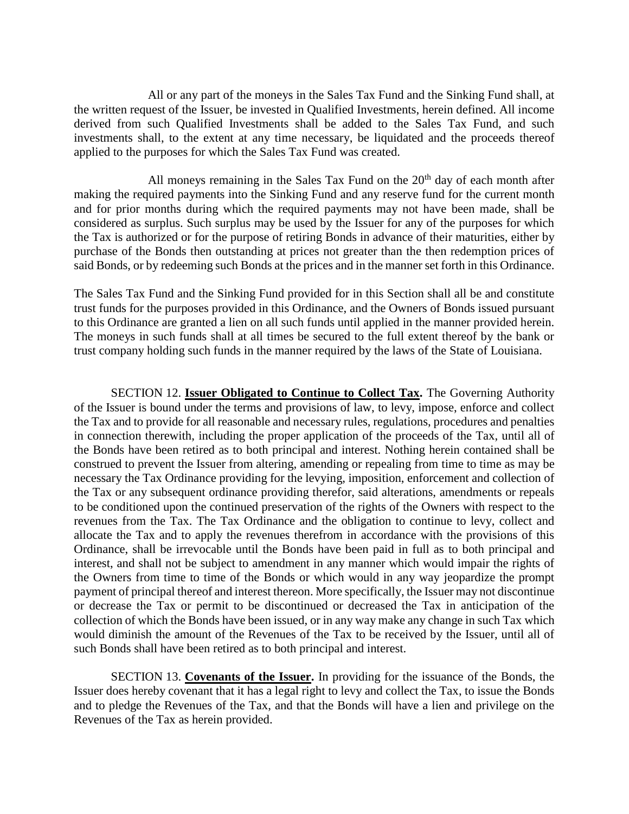All or any part of the moneys in the Sales Tax Fund and the Sinking Fund shall, at the written request of the Issuer, be invested in Qualified Investments, herein defined. All income derived from such Qualified Investments shall be added to the Sales Tax Fund, and such investments shall, to the extent at any time necessary, be liquidated and the proceeds thereof applied to the purposes for which the Sales Tax Fund was created.

All moneys remaining in the Sales Tax Fund on the  $20<sup>th</sup>$  day of each month after making the required payments into the Sinking Fund and any reserve fund for the current month and for prior months during which the required payments may not have been made, shall be considered as surplus. Such surplus may be used by the Issuer for any of the purposes for which the Tax is authorized or for the purpose of retiring Bonds in advance of their maturities, either by purchase of the Bonds then outstanding at prices not greater than the then redemption prices of said Bonds, or by redeeming such Bonds at the prices and in the manner set forth in this Ordinance.

The Sales Tax Fund and the Sinking Fund provided for in this Section shall all be and constitute trust funds for the purposes provided in this Ordinance, and the Owners of Bonds issued pursuant to this Ordinance are granted a lien on all such funds until applied in the manner provided herein. The moneys in such funds shall at all times be secured to the full extent thereof by the bank or trust company holding such funds in the manner required by the laws of the State of Louisiana.

SECTION 12. **Issuer Obligated to Continue to Collect Tax.** The Governing Authority of the Issuer is bound under the terms and provisions of law, to levy, impose, enforce and collect the Tax and to provide for all reasonable and necessary rules, regulations, procedures and penalties in connection therewith, including the proper application of the proceeds of the Tax, until all of the Bonds have been retired as to both principal and interest. Nothing herein contained shall be construed to prevent the Issuer from altering, amending or repealing from time to time as may be necessary the Tax Ordinance providing for the levying, imposition, enforcement and collection of the Tax or any subsequent ordinance providing therefor, said alterations, amendments or repeals to be conditioned upon the continued preservation of the rights of the Owners with respect to the revenues from the Tax. The Tax Ordinance and the obligation to continue to levy, collect and allocate the Tax and to apply the revenues therefrom in accordance with the provisions of this Ordinance, shall be irrevocable until the Bonds have been paid in full as to both principal and interest, and shall not be subject to amendment in any manner which would impair the rights of the Owners from time to time of the Bonds or which would in any way jeopardize the prompt payment of principal thereof and interest thereon. More specifically, the Issuer may not discontinue or decrease the Tax or permit to be discontinued or decreased the Tax in anticipation of the collection of which the Bonds have been issued, or in any way make any change in such Tax which would diminish the amount of the Revenues of the Tax to be received by the Issuer, until all of such Bonds shall have been retired as to both principal and interest.

SECTION 13. **Covenants of the Issuer.** In providing for the issuance of the Bonds, the Issuer does hereby covenant that it has a legal right to levy and collect the Tax, to issue the Bonds and to pledge the Revenues of the Tax, and that the Bonds will have a lien and privilege on the Revenues of the Tax as herein provided.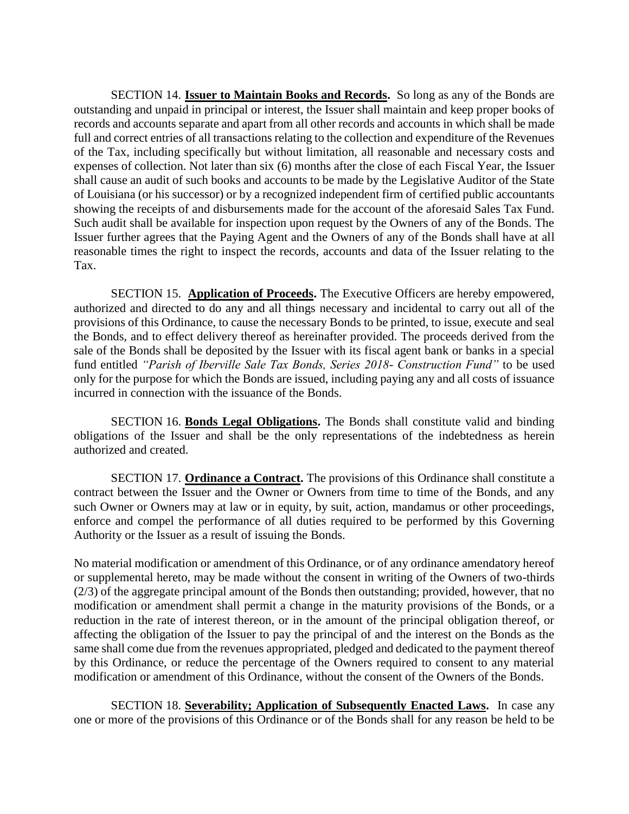SECTION 14. **Issuer to Maintain Books and Records.** So long as any of the Bonds are outstanding and unpaid in principal or interest, the Issuer shall maintain and keep proper books of records and accounts separate and apart from all other records and accounts in which shall be made full and correct entries of all transactions relating to the collection and expenditure of the Revenues of the Tax, including specifically but without limitation, all reasonable and necessary costs and expenses of collection. Not later than six (6) months after the close of each Fiscal Year, the Issuer shall cause an audit of such books and accounts to be made by the Legislative Auditor of the State of Louisiana (or his successor) or by a recognized independent firm of certified public accountants showing the receipts of and disbursements made for the account of the aforesaid Sales Tax Fund. Such audit shall be available for inspection upon request by the Owners of any of the Bonds. The Issuer further agrees that the Paying Agent and the Owners of any of the Bonds shall have at all reasonable times the right to inspect the records, accounts and data of the Issuer relating to the Tax.

SECTION 15. **Application of Proceeds.** The Executive Officers are hereby empowered, authorized and directed to do any and all things necessary and incidental to carry out all of the provisions of this Ordinance, to cause the necessary Bonds to be printed, to issue, execute and seal the Bonds, and to effect delivery thereof as hereinafter provided. The proceeds derived from the sale of the Bonds shall be deposited by the Issuer with its fiscal agent bank or banks in a special fund entitled *"Parish of Iberville Sale Tax Bonds, Series 2018- Construction Fund"* to be used only for the purpose for which the Bonds are issued, including paying any and all costs of issuance incurred in connection with the issuance of the Bonds.

SECTION 16. **Bonds Legal Obligations.** The Bonds shall constitute valid and binding obligations of the Issuer and shall be the only representations of the indebtedness as herein authorized and created.

SECTION 17. **Ordinance a Contract.** The provisions of this Ordinance shall constitute a contract between the Issuer and the Owner or Owners from time to time of the Bonds, and any such Owner or Owners may at law or in equity, by suit, action, mandamus or other proceedings, enforce and compel the performance of all duties required to be performed by this Governing Authority or the Issuer as a result of issuing the Bonds.

No material modification or amendment of this Ordinance, or of any ordinance amendatory hereof or supplemental hereto, may be made without the consent in writing of the Owners of two-thirds (2/3) of the aggregate principal amount of the Bonds then outstanding; provided, however, that no modification or amendment shall permit a change in the maturity provisions of the Bonds, or a reduction in the rate of interest thereon, or in the amount of the principal obligation thereof, or affecting the obligation of the Issuer to pay the principal of and the interest on the Bonds as the same shall come due from the revenues appropriated, pledged and dedicated to the payment thereof by this Ordinance, or reduce the percentage of the Owners required to consent to any material modification or amendment of this Ordinance, without the consent of the Owners of the Bonds.

SECTION 18. **Severability; Application of Subsequently Enacted Laws.** In case any one or more of the provisions of this Ordinance or of the Bonds shall for any reason be held to be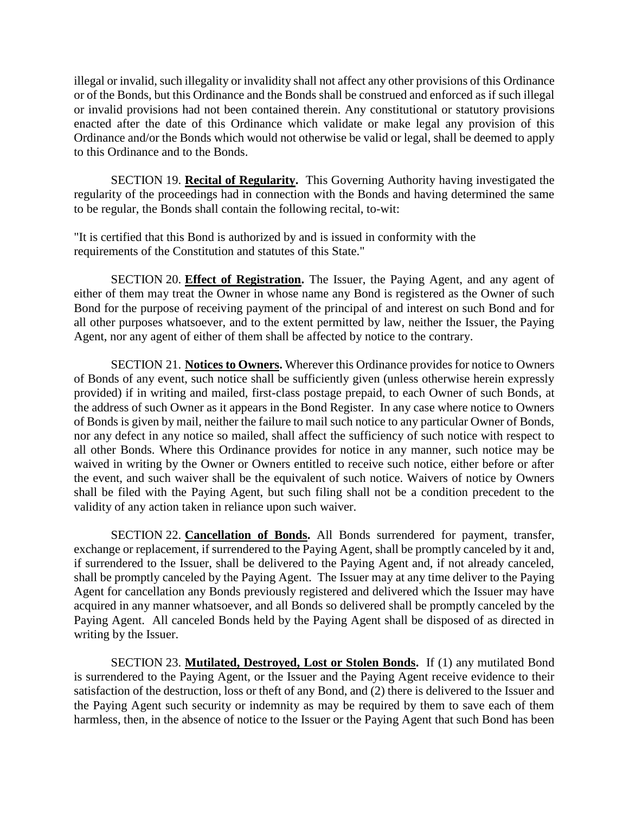illegal or invalid, such illegality or invalidity shall not affect any other provisions of this Ordinance or of the Bonds, but this Ordinance and the Bonds shall be construed and enforced as if such illegal or invalid provisions had not been contained therein. Any constitutional or statutory provisions enacted after the date of this Ordinance which validate or make legal any provision of this Ordinance and/or the Bonds which would not otherwise be valid or legal, shall be deemed to apply to this Ordinance and to the Bonds.

SECTION 19. **Recital of Regularity.** This Governing Authority having investigated the regularity of the proceedings had in connection with the Bonds and having determined the same to be regular, the Bonds shall contain the following recital, to-wit:

"It is certified that this Bond is authorized by and is issued in conformity with the requirements of the Constitution and statutes of this State."

SECTION 20. **Effect of Registration.** The Issuer, the Paying Agent, and any agent of either of them may treat the Owner in whose name any Bond is registered as the Owner of such Bond for the purpose of receiving payment of the principal of and interest on such Bond and for all other purposes whatsoever, and to the extent permitted by law, neither the Issuer, the Paying Agent, nor any agent of either of them shall be affected by notice to the contrary.

SECTION 21. **Notices to Owners.** Wherever this Ordinance provides for notice to Owners of Bonds of any event, such notice shall be sufficiently given (unless otherwise herein expressly provided) if in writing and mailed, first-class postage prepaid, to each Owner of such Bonds, at the address of such Owner as it appears in the Bond Register. In any case where notice to Owners of Bonds is given by mail, neither the failure to mail such notice to any particular Owner of Bonds, nor any defect in any notice so mailed, shall affect the sufficiency of such notice with respect to all other Bonds. Where this Ordinance provides for notice in any manner, such notice may be waived in writing by the Owner or Owners entitled to receive such notice, either before or after the event, and such waiver shall be the equivalent of such notice. Waivers of notice by Owners shall be filed with the Paying Agent, but such filing shall not be a condition precedent to the validity of any action taken in reliance upon such waiver.

SECTION 22. **Cancellation of Bonds.** All Bonds surrendered for payment, transfer, exchange or replacement, if surrendered to the Paying Agent, shall be promptly canceled by it and, if surrendered to the Issuer, shall be delivered to the Paying Agent and, if not already canceled, shall be promptly canceled by the Paying Agent. The Issuer may at any time deliver to the Paying Agent for cancellation any Bonds previously registered and delivered which the Issuer may have acquired in any manner whatsoever, and all Bonds so delivered shall be promptly canceled by the Paying Agent. All canceled Bonds held by the Paying Agent shall be disposed of as directed in writing by the Issuer.

SECTION 23. **Mutilated, Destroyed, Lost or Stolen Bonds.** If (1) any mutilated Bond is surrendered to the Paying Agent, or the Issuer and the Paying Agent receive evidence to their satisfaction of the destruction, loss or theft of any Bond, and (2) there is delivered to the Issuer and the Paying Agent such security or indemnity as may be required by them to save each of them harmless, then, in the absence of notice to the Issuer or the Paying Agent that such Bond has been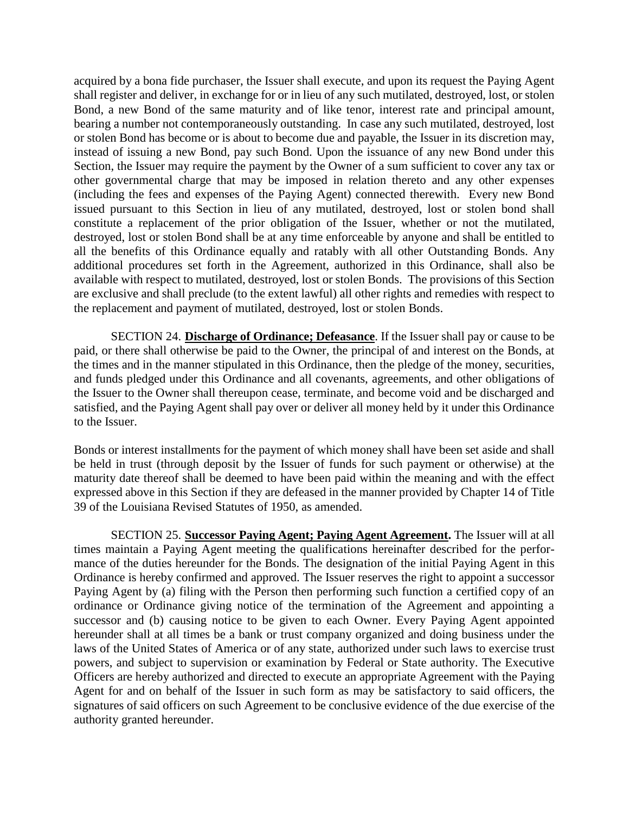acquired by a bona fide purchaser, the Issuer shall execute, and upon its request the Paying Agent shall register and deliver, in exchange for or in lieu of any such mutilated, destroyed, lost, or stolen Bond, a new Bond of the same maturity and of like tenor, interest rate and principal amount, bearing a number not contemporaneously outstanding. In case any such mutilated, destroyed, lost or stolen Bond has become or is about to become due and payable, the Issuer in its discretion may, instead of issuing a new Bond, pay such Bond. Upon the issuance of any new Bond under this Section, the Issuer may require the payment by the Owner of a sum sufficient to cover any tax or other governmental charge that may be imposed in relation thereto and any other expenses (including the fees and expenses of the Paying Agent) connected therewith. Every new Bond issued pursuant to this Section in lieu of any mutilated, destroyed, lost or stolen bond shall constitute a replacement of the prior obligation of the Issuer, whether or not the mutilated, destroyed, lost or stolen Bond shall be at any time enforceable by anyone and shall be entitled to all the benefits of this Ordinance equally and ratably with all other Outstanding Bonds. Any additional procedures set forth in the Agreement, authorized in this Ordinance, shall also be available with respect to mutilated, destroyed, lost or stolen Bonds. The provisions of this Section are exclusive and shall preclude (to the extent lawful) all other rights and remedies with respect to the replacement and payment of mutilated, destroyed, lost or stolen Bonds.

SECTION 24. **Discharge of Ordinance; Defeasance**. If the Issuer shall pay or cause to be paid, or there shall otherwise be paid to the Owner, the principal of and interest on the Bonds, at the times and in the manner stipulated in this Ordinance, then the pledge of the money, securities, and funds pledged under this Ordinance and all covenants, agreements, and other obligations of the Issuer to the Owner shall thereupon cease, terminate, and become void and be discharged and satisfied, and the Paying Agent shall pay over or deliver all money held by it under this Ordinance to the Issuer.

Bonds or interest installments for the payment of which money shall have been set aside and shall be held in trust (through deposit by the Issuer of funds for such payment or otherwise) at the maturity date thereof shall be deemed to have been paid within the meaning and with the effect expressed above in this Section if they are defeased in the manner provided by Chapter 14 of Title 39 of the Louisiana Revised Statutes of 1950, as amended.

SECTION 25. **Successor Paying Agent; Paying Agent Agreement.** The Issuer will at all times maintain a Paying Agent meeting the qualifications hereinafter described for the performance of the duties hereunder for the Bonds. The designation of the initial Paying Agent in this Ordinance is hereby confirmed and approved. The Issuer reserves the right to appoint a successor Paying Agent by (a) filing with the Person then performing such function a certified copy of an ordinance or Ordinance giving notice of the termination of the Agreement and appointing a successor and (b) causing notice to be given to each Owner. Every Paying Agent appointed hereunder shall at all times be a bank or trust company organized and doing business under the laws of the United States of America or of any state, authorized under such laws to exercise trust powers, and subject to supervision or examination by Federal or State authority. The Executive Officers are hereby authorized and directed to execute an appropriate Agreement with the Paying Agent for and on behalf of the Issuer in such form as may be satisfactory to said officers, the signatures of said officers on such Agreement to be conclusive evidence of the due exercise of the authority granted hereunder.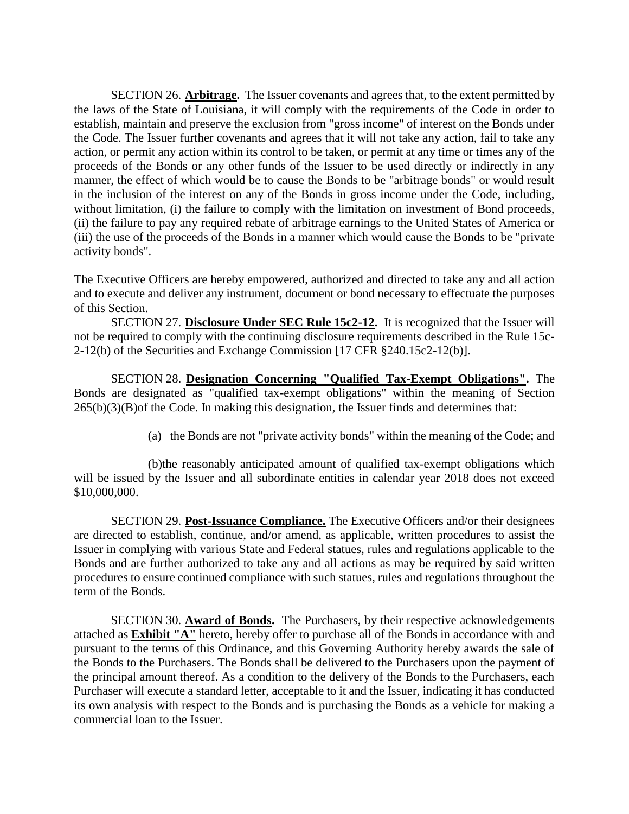SECTION 26. **Arbitrage.** The Issuer covenants and agrees that, to the extent permitted by the laws of the State of Louisiana, it will comply with the requirements of the Code in order to establish, maintain and preserve the exclusion from "gross income" of interest on the Bonds under the Code. The Issuer further covenants and agrees that it will not take any action, fail to take any action, or permit any action within its control to be taken, or permit at any time or times any of the proceeds of the Bonds or any other funds of the Issuer to be used directly or indirectly in any manner, the effect of which would be to cause the Bonds to be "arbitrage bonds" or would result in the inclusion of the interest on any of the Bonds in gross income under the Code, including, without limitation, (i) the failure to comply with the limitation on investment of Bond proceeds, (ii) the failure to pay any required rebate of arbitrage earnings to the United States of America or (iii) the use of the proceeds of the Bonds in a manner which would cause the Bonds to be "private activity bonds".

The Executive Officers are hereby empowered, authorized and directed to take any and all action and to execute and deliver any instrument, document or bond necessary to effectuate the purposes of this Section.

SECTION 27. **Disclosure Under SEC Rule 15c2-12.** It is recognized that the Issuer will not be required to comply with the continuing disclosure requirements described in the Rule 15c-2-12(b) of the Securities and Exchange Commission [17 CFR §240.15c2-12(b)].

SECTION 28. **Designation Concerning "Qualified Tax-Exempt Obligations".** The Bonds are designated as "qualified tax-exempt obligations" within the meaning of Section  $265(b)(3)(B)$  of the Code. In making this designation, the Issuer finds and determines that:

(a) the Bonds are not "private activity bonds" within the meaning of the Code; and

(b)the reasonably anticipated amount of qualified tax-exempt obligations which will be issued by the Issuer and all subordinate entities in calendar year 2018 does not exceed \$10,000,000.

SECTION 29. **Post-Issuance Compliance.** The Executive Officers and/or their designees are directed to establish, continue, and/or amend, as applicable, written procedures to assist the Issuer in complying with various State and Federal statues, rules and regulations applicable to the Bonds and are further authorized to take any and all actions as may be required by said written procedures to ensure continued compliance with such statues, rules and regulations throughout the term of the Bonds.

SECTION 30. **Award of Bonds.** The Purchasers, by their respective acknowledgements attached as **Exhibit "A"** hereto, hereby offer to purchase all of the Bonds in accordance with and pursuant to the terms of this Ordinance, and this Governing Authority hereby awards the sale of the Bonds to the Purchasers. The Bonds shall be delivered to the Purchasers upon the payment of the principal amount thereof. As a condition to the delivery of the Bonds to the Purchasers, each Purchaser will execute a standard letter, acceptable to it and the Issuer, indicating it has conducted its own analysis with respect to the Bonds and is purchasing the Bonds as a vehicle for making a commercial loan to the Issuer.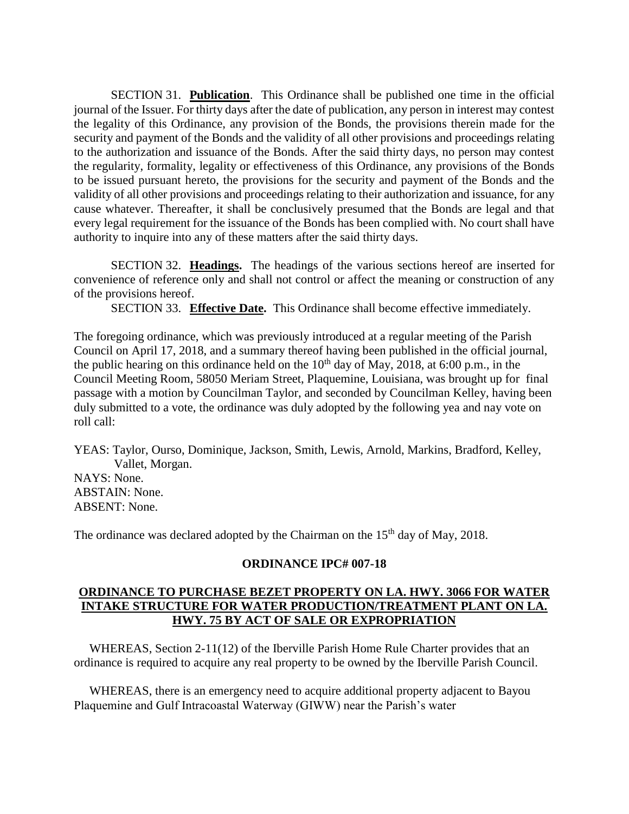SECTION 31. **Publication**. This Ordinance shall be published one time in the official journal of the Issuer. For thirty days after the date of publication, any person in interest may contest the legality of this Ordinance, any provision of the Bonds, the provisions therein made for the security and payment of the Bonds and the validity of all other provisions and proceedings relating to the authorization and issuance of the Bonds. After the said thirty days, no person may contest the regularity, formality, legality or effectiveness of this Ordinance, any provisions of the Bonds to be issued pursuant hereto, the provisions for the security and payment of the Bonds and the validity of all other provisions and proceedings relating to their authorization and issuance, for any cause whatever. Thereafter, it shall be conclusively presumed that the Bonds are legal and that every legal requirement for the issuance of the Bonds has been complied with. No court shall have authority to inquire into any of these matters after the said thirty days.

SECTION 32. **Headings.** The headings of the various sections hereof are inserted for convenience of reference only and shall not control or affect the meaning or construction of any of the provisions hereof.

SECTION 33. **Effective Date.** This Ordinance shall become effective immediately.

The foregoing ordinance, which was previously introduced at a regular meeting of the Parish Council on April 17, 2018, and a summary thereof having been published in the official journal, the public hearing on this ordinance held on the  $10<sup>th</sup>$  day of May, 2018, at 6:00 p.m., in the Council Meeting Room, 58050 Meriam Street, Plaquemine, Louisiana, was brought up for final passage with a motion by Councilman Taylor, and seconded by Councilman Kelley, having been duly submitted to a vote, the ordinance was duly adopted by the following yea and nay vote on roll call:

YEAS: Taylor, Ourso, Dominique, Jackson, Smith, Lewis, Arnold, Markins, Bradford, Kelley, Vallet, Morgan. NAYS: None. ABSTAIN: None. ABSENT: None.

The ordinance was declared adopted by the Chairman on the  $15<sup>th</sup>$  day of May, 2018.

#### **ORDINANCE IPC# 007-18**

### **ORDINANCE TO PURCHASE BEZET PROPERTY ON LA. HWY. 3066 FOR WATER INTAKE STRUCTURE FOR WATER PRODUCTION/TREATMENT PLANT ON LA. HWY. 75 BY ACT OF SALE OR EXPROPRIATION**

 WHEREAS, Section 2-11(12) of the Iberville Parish Home Rule Charter provides that an ordinance is required to acquire any real property to be owned by the Iberville Parish Council.

 WHEREAS, there is an emergency need to acquire additional property adjacent to Bayou Plaquemine and Gulf Intracoastal Waterway (GIWW) near the Parish's water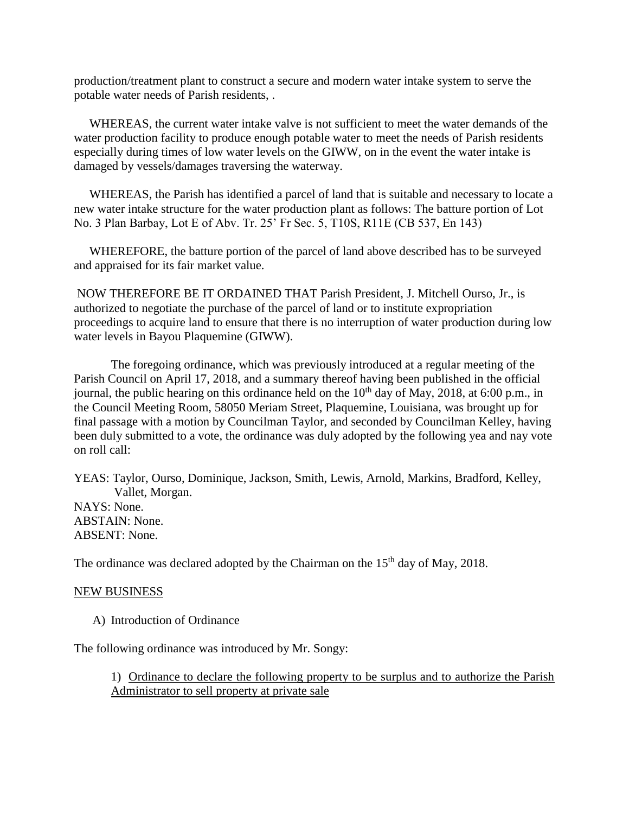production/treatment plant to construct a secure and modern water intake system to serve the potable water needs of Parish residents, .

 WHEREAS, the current water intake valve is not sufficient to meet the water demands of the water production facility to produce enough potable water to meet the needs of Parish residents especially during times of low water levels on the GIWW, on in the event the water intake is damaged by vessels/damages traversing the waterway.

 WHEREAS, the Parish has identified a parcel of land that is suitable and necessary to locate a new water intake structure for the water production plant as follows: The batture portion of Lot No. 3 Plan Barbay, Lot E of Abv. Tr. 25' Fr Sec. 5, T10S, R11E (CB 537, En 143)

 WHEREFORE, the batture portion of the parcel of land above described has to be surveyed and appraised for its fair market value.

NOW THEREFORE BE IT ORDAINED THAT Parish President, J. Mitchell Ourso, Jr., is authorized to negotiate the purchase of the parcel of land or to institute expropriation proceedings to acquire land to ensure that there is no interruption of water production during low water levels in Bayou Plaquemine (GIWW).

The foregoing ordinance, which was previously introduced at a regular meeting of the Parish Council on April 17, 2018, and a summary thereof having been published in the official journal, the public hearing on this ordinance held on the  $10<sup>th</sup>$  day of May, 2018, at 6:00 p.m., in the Council Meeting Room, 58050 Meriam Street, Plaquemine, Louisiana, was brought up for final passage with a motion by Councilman Taylor, and seconded by Councilman Kelley, having been duly submitted to a vote, the ordinance was duly adopted by the following yea and nay vote on roll call:

YEAS: Taylor, Ourso, Dominique, Jackson, Smith, Lewis, Arnold, Markins, Bradford, Kelley, Vallet, Morgan. NAYS: None. ABSTAIN: None. ABSENT: None.

The ordinance was declared adopted by the Chairman on the  $15<sup>th</sup>$  day of May, 2018.

#### NEW BUSINESS

A) Introduction of Ordinance

The following ordinance was introduced by Mr. Songy:

1) Ordinance to declare the following property to be surplus and to authorize the Parish Administrator to sell property at private sale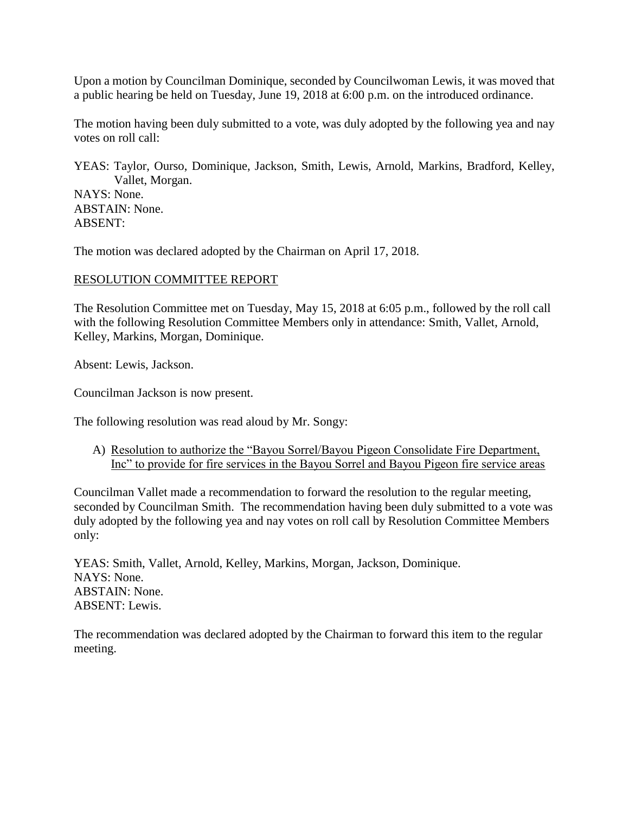Upon a motion by Councilman Dominique, seconded by Councilwoman Lewis, it was moved that a public hearing be held on Tuesday, June 19, 2018 at 6:00 p.m. on the introduced ordinance.

The motion having been duly submitted to a vote, was duly adopted by the following yea and nay votes on roll call:

YEAS: Taylor, Ourso, Dominique, Jackson, Smith, Lewis, Arnold, Markins, Bradford, Kelley, Vallet, Morgan.

NAYS: None. ABSTAIN: None. ABSENT:

The motion was declared adopted by the Chairman on April 17, 2018.

# RESOLUTION COMMITTEE REPORT

The Resolution Committee met on Tuesday, May 15, 2018 at 6:05 p.m., followed by the roll call with the following Resolution Committee Members only in attendance: Smith, Vallet, Arnold, Kelley, Markins, Morgan, Dominique.

Absent: Lewis, Jackson.

Councilman Jackson is now present.

The following resolution was read aloud by Mr. Songy:

A) Resolution to authorize the "Bayou Sorrel/Bayou Pigeon Consolidate Fire Department, Inc" to provide for fire services in the Bayou Sorrel and Bayou Pigeon fire service areas

Councilman Vallet made a recommendation to forward the resolution to the regular meeting, seconded by Councilman Smith. The recommendation having been duly submitted to a vote was duly adopted by the following yea and nay votes on roll call by Resolution Committee Members only:

YEAS: Smith, Vallet, Arnold, Kelley, Markins, Morgan, Jackson, Dominique. NAYS: None. ABSTAIN: None. ABSENT: Lewis.

The recommendation was declared adopted by the Chairman to forward this item to the regular meeting.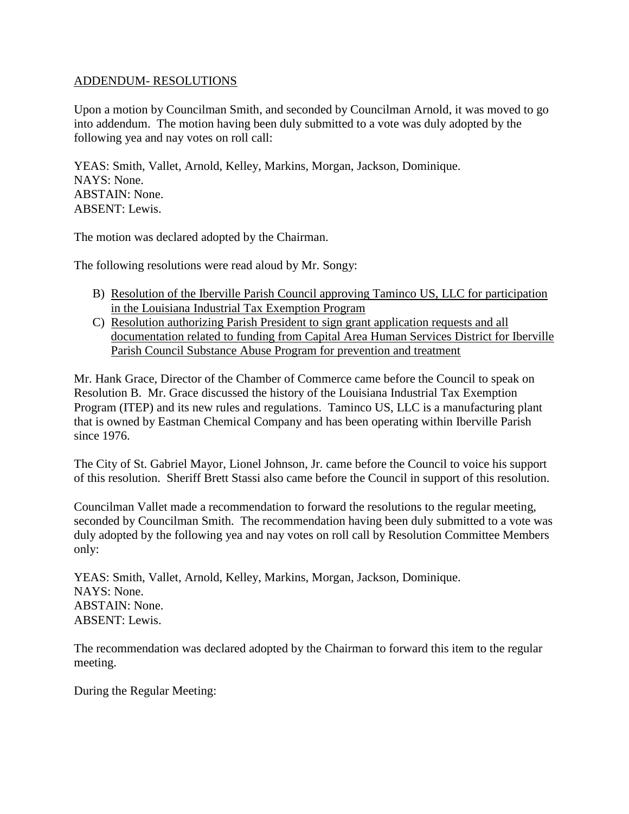#### ADDENDUM- RESOLUTIONS

Upon a motion by Councilman Smith, and seconded by Councilman Arnold, it was moved to go into addendum. The motion having been duly submitted to a vote was duly adopted by the following yea and nay votes on roll call:

YEAS: Smith, Vallet, Arnold, Kelley, Markins, Morgan, Jackson, Dominique. NAYS: None. ABSTAIN: None. ABSENT: Lewis.

The motion was declared adopted by the Chairman.

The following resolutions were read aloud by Mr. Songy:

- B) Resolution of the Iberville Parish Council approving Taminco US, LLC for participation in the Louisiana Industrial Tax Exemption Program
- C) Resolution authorizing Parish President to sign grant application requests and all documentation related to funding from Capital Area Human Services District for Iberville Parish Council Substance Abuse Program for prevention and treatment

Mr. Hank Grace, Director of the Chamber of Commerce came before the Council to speak on Resolution B. Mr. Grace discussed the history of the Louisiana Industrial Tax Exemption Program (ITEP) and its new rules and regulations. Taminco US, LLC is a manufacturing plant that is owned by Eastman Chemical Company and has been operating within Iberville Parish since 1976.

The City of St. Gabriel Mayor, Lionel Johnson, Jr. came before the Council to voice his support of this resolution. Sheriff Brett Stassi also came before the Council in support of this resolution.

Councilman Vallet made a recommendation to forward the resolutions to the regular meeting, seconded by Councilman Smith. The recommendation having been duly submitted to a vote was duly adopted by the following yea and nay votes on roll call by Resolution Committee Members only:

YEAS: Smith, Vallet, Arnold, Kelley, Markins, Morgan, Jackson, Dominique. NAYS: None. ABSTAIN: None. ABSENT: Lewis.

The recommendation was declared adopted by the Chairman to forward this item to the regular meeting.

During the Regular Meeting: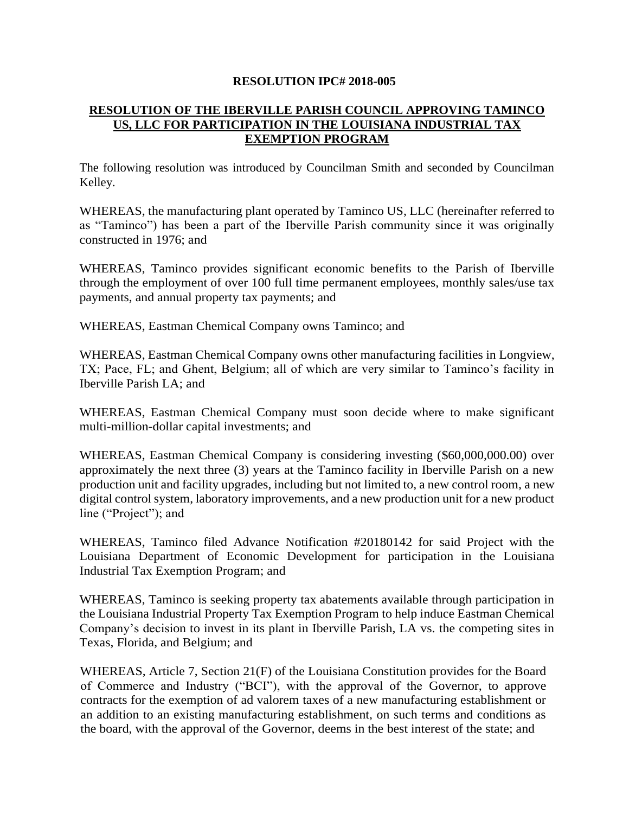#### **RESOLUTION IPC# 2018-005**

# **RESOLUTION OF THE IBERVILLE PARISH COUNCIL APPROVING TAMINCO US, LLC FOR PARTICIPATION IN THE LOUISIANA INDUSTRIAL TAX EXEMPTION PROGRAM**

The following resolution was introduced by Councilman Smith and seconded by Councilman Kelley.

WHEREAS, the manufacturing plant operated by Taminco US, LLC (hereinafter referred to as "Taminco") has been a part of the Iberville Parish community since it was originally constructed in 1976; and

WHEREAS, Taminco provides significant economic benefits to the Parish of Iberville through the employment of over 100 full time permanent employees, monthly sales/use tax payments, and annual property tax payments; and

WHEREAS, Eastman Chemical Company owns Taminco; and

WHEREAS, Eastman Chemical Company owns other manufacturing facilities in Longview, TX; Pace, FL; and Ghent, Belgium; all of which are very similar to Taminco's facility in Iberville Parish LA; and

WHEREAS, Eastman Chemical Company must soon decide where to make significant multi-million-dollar capital investments; and

WHEREAS, Eastman Chemical Company is considering investing (\$60,000,000.00) over approximately the next three (3) years at the Taminco facility in Iberville Parish on a new production unit and facility upgrades, including but not limited to, a new control room, a new digital control system, laboratory improvements, and a new production unit for a new product line ("Project"); and

WHEREAS, Taminco filed Advance Notification #20180142 for said Project with the Louisiana Department of Economic Development for participation in the Louisiana Industrial Tax Exemption Program; and

WHEREAS, Taminco is seeking property tax abatements available through participation in the Louisiana Industrial Property Tax Exemption Program to help induce Eastman Chemical Company's decision to invest in its plant in Iberville Parish, LA vs. the competing sites in Texas, Florida, and Belgium; and

WHEREAS, Article 7, Section 21(F) of the Louisiana Constitution provides for the Board of Commerce and Industry ("BCI"), with the approval of the Governor, to approve contracts for the exemption of ad valorem taxes of a new manufacturing establishment or an addition to an existing manufacturing establishment, on such terms and conditions as the board, with the approval of the Governor, deems in the best interest of the state; and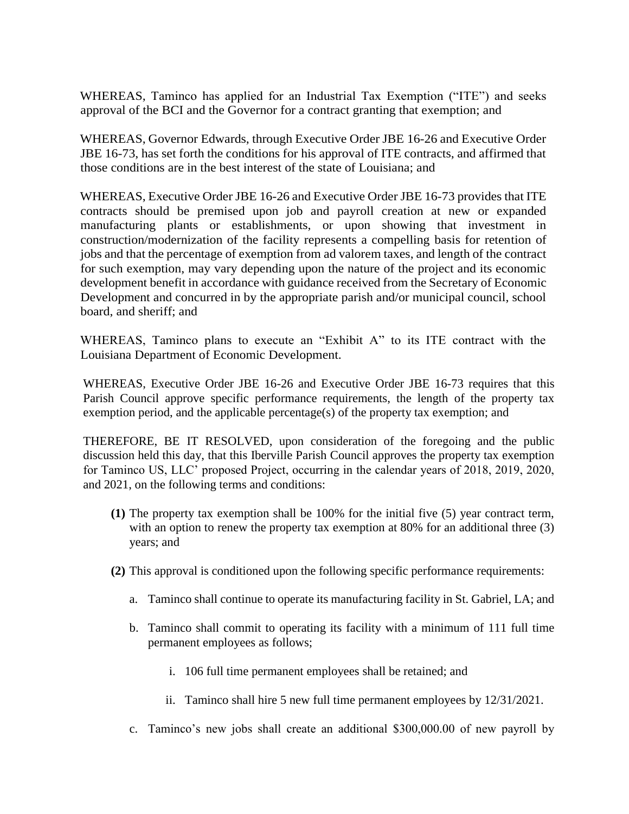WHEREAS, Taminco has applied for an Industrial Tax Exemption ("ITE") and seeks approval of the BCI and the Governor for a contract granting that exemption; and

WHEREAS, Governor Edwards, through Executive Order JBE 16-26 and Executive Order JBE 16-73, has set forth the conditions for his approval of ITE contracts, and affirmed that those conditions are in the best interest of the state of Louisiana; and

WHEREAS, Executive Order JBE 16-26 and Executive Order JBE 16-73 provides that ITE contracts should be premised upon job and payroll creation at new or expanded manufacturing plants or establishments, or upon showing that investment in construction/modernization of the facility represents a compelling basis for retention of jobs and that the percentage of exemption from ad valorem taxes, and length of the contract for such exemption, may vary depending upon the nature of the project and its economic development benefit in accordance with guidance received from the Secretary of Economic Development and concurred in by the appropriate parish and/or municipal council, school board, and sheriff; and

WHEREAS, Taminco plans to execute an "Exhibit A" to its ITE contract with the Louisiana Department of Economic Development.

WHEREAS, Executive Order JBE 16-26 and Executive Order JBE 16-73 requires that this Parish Council approve specific performance requirements, the length of the property tax exemption period, and the applicable percentage(s) of the property tax exemption; and

THEREFORE, BE IT RESOLVED, upon consideration of the foregoing and the public discussion held this day, that this Iberville Parish Council approves the property tax exemption for Taminco US, LLC' proposed Project, occurring in the calendar years of 2018, 2019, 2020, and 2021, on the following terms and conditions:

- **(1)** The property tax exemption shall be 100% for the initial five (5) year contract term, with an option to renew the property tax exemption at 80% for an additional three (3) years; and
- **(2)** This approval is conditioned upon the following specific performance requirements:
	- a. Taminco shall continue to operate its manufacturing facility in St. Gabriel, LA; and
	- b. Taminco shall commit to operating its facility with a minimum of 111 full time permanent employees as follows;
		- i. 106 full time permanent employees shall be retained; and
		- ii. Taminco shall hire 5 new full time permanent employees by 12/31/2021.
	- c. Taminco's new jobs shall create an additional \$300,000.00 of new payroll by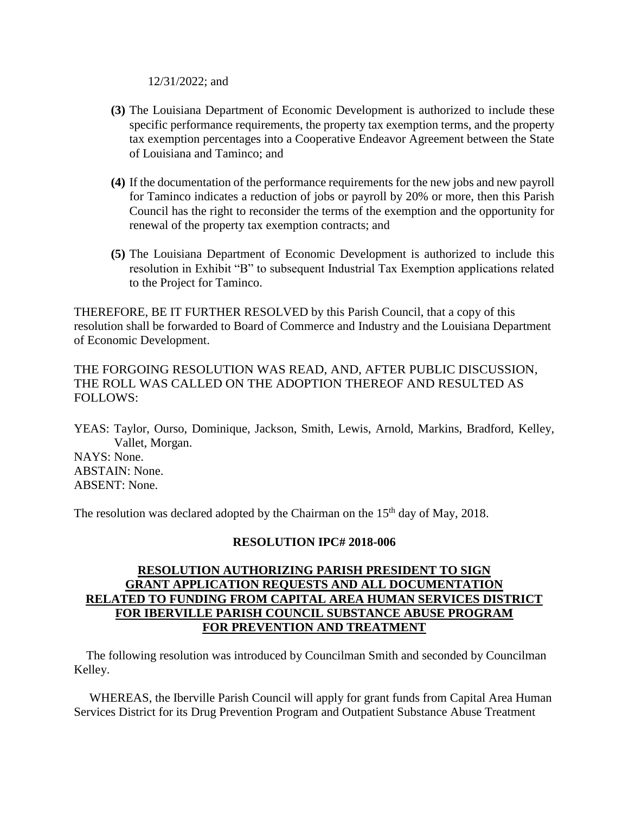12/31/2022; and

- **(3)** The Louisiana Department of Economic Development is authorized to include these specific performance requirements, the property tax exemption terms, and the property tax exemption percentages into a Cooperative Endeavor Agreement between the State of Louisiana and Taminco; and
- **(4)** If the documentation of the performance requirements for the new jobs and new payroll for Taminco indicates a reduction of jobs or payroll by 20% or more, then this Parish Council has the right to reconsider the terms of the exemption and the opportunity for renewal of the property tax exemption contracts; and
- **(5)** The Louisiana Department of Economic Development is authorized to include this resolution in Exhibit "B" to subsequent Industrial Tax Exemption applications related to the Project for Taminco.

THEREFORE, BE IT FURTHER RESOLVED by this Parish Council, that a copy of this resolution shall be forwarded to Board of Commerce and Industry and the Louisiana Department of Economic Development.

# THE FORGOING RESOLUTION WAS READ, AND, AFTER PUBLIC DISCUSSION, THE ROLL WAS CALLED ON THE ADOPTION THEREOF AND RESULTED AS FOLLOWS:

YEAS: Taylor, Ourso, Dominique, Jackson, Smith, Lewis, Arnold, Markins, Bradford, Kelley, Vallet, Morgan.

NAYS: None. ABSTAIN: None. ABSENT: None.

The resolution was declared adopted by the Chairman on the 15<sup>th</sup> day of May, 2018.

# **RESOLUTION IPC# 2018-006**

# **RESOLUTION AUTHORIZING PARISH PRESIDENT TO SIGN GRANT APPLICATION REQUESTS AND ALL DOCUMENTATION RELATED TO FUNDING FROM CAPITAL AREA HUMAN SERVICES DISTRICT FOR IBERVILLE PARISH COUNCIL SUBSTANCE ABUSE PROGRAM FOR PREVENTION AND TREATMENT**

 The following resolution was introduced by Councilman Smith and seconded by Councilman Kelley.

 WHEREAS, the Iberville Parish Council will apply for grant funds from Capital Area Human Services District for its Drug Prevention Program and Outpatient Substance Abuse Treatment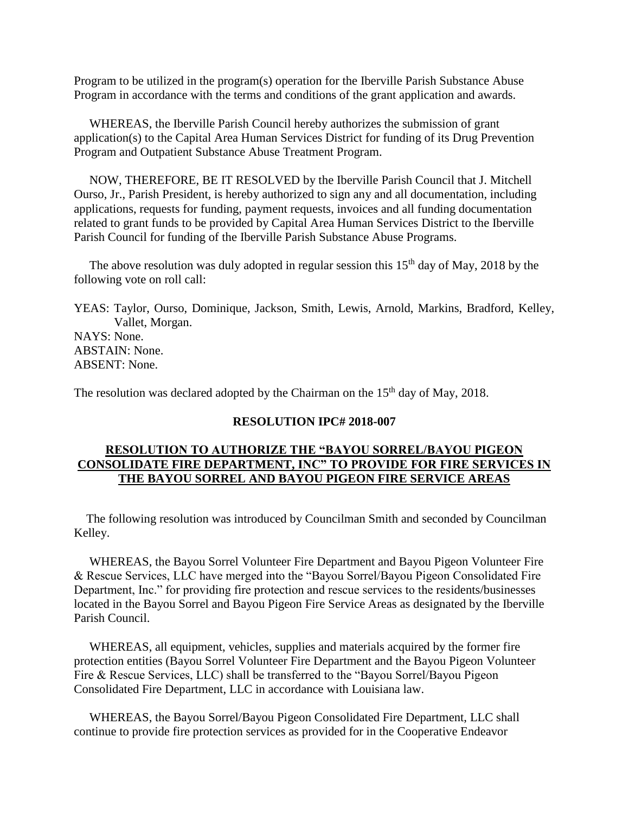Program to be utilized in the program(s) operation for the Iberville Parish Substance Abuse Program in accordance with the terms and conditions of the grant application and awards.

 WHEREAS, the Iberville Parish Council hereby authorizes the submission of grant application(s) to the Capital Area Human Services District for funding of its Drug Prevention Program and Outpatient Substance Abuse Treatment Program.

 NOW, THEREFORE, BE IT RESOLVED by the Iberville Parish Council that J. Mitchell Ourso, Jr., Parish President, is hereby authorized to sign any and all documentation, including applications, requests for funding, payment requests, invoices and all funding documentation related to grant funds to be provided by Capital Area Human Services District to the Iberville Parish Council for funding of the Iberville Parish Substance Abuse Programs.

The above resolution was duly adopted in regular session this  $15<sup>th</sup>$  day of May, 2018 by the following vote on roll call:

YEAS: Taylor, Ourso, Dominique, Jackson, Smith, Lewis, Arnold, Markins, Bradford, Kelley, Vallet, Morgan. NAYS: None. ABSTAIN: None. ABSENT: None.

The resolution was declared adopted by the Chairman on the  $15<sup>th</sup>$  day of May, 2018.

#### **RESOLUTION IPC# 2018-007**

# **RESOLUTION TO AUTHORIZE THE "BAYOU SORREL/BAYOU PIGEON CONSOLIDATE FIRE DEPARTMENT, INC" TO PROVIDE FOR FIRE SERVICES IN THE BAYOU SORREL AND BAYOU PIGEON FIRE SERVICE AREAS**

 The following resolution was introduced by Councilman Smith and seconded by Councilman Kelley.

 WHEREAS, the Bayou Sorrel Volunteer Fire Department and Bayou Pigeon Volunteer Fire & Rescue Services, LLC have merged into the "Bayou Sorrel/Bayou Pigeon Consolidated Fire Department, Inc." for providing fire protection and rescue services to the residents/businesses located in the Bayou Sorrel and Bayou Pigeon Fire Service Areas as designated by the Iberville Parish Council.

 WHEREAS, all equipment, vehicles, supplies and materials acquired by the former fire protection entities (Bayou Sorrel Volunteer Fire Department and the Bayou Pigeon Volunteer Fire & Rescue Services, LLC) shall be transferred to the "Bayou Sorrel/Bayou Pigeon Consolidated Fire Department, LLC in accordance with Louisiana law.

 WHEREAS, the Bayou Sorrel/Bayou Pigeon Consolidated Fire Department, LLC shall continue to provide fire protection services as provided for in the Cooperative Endeavor